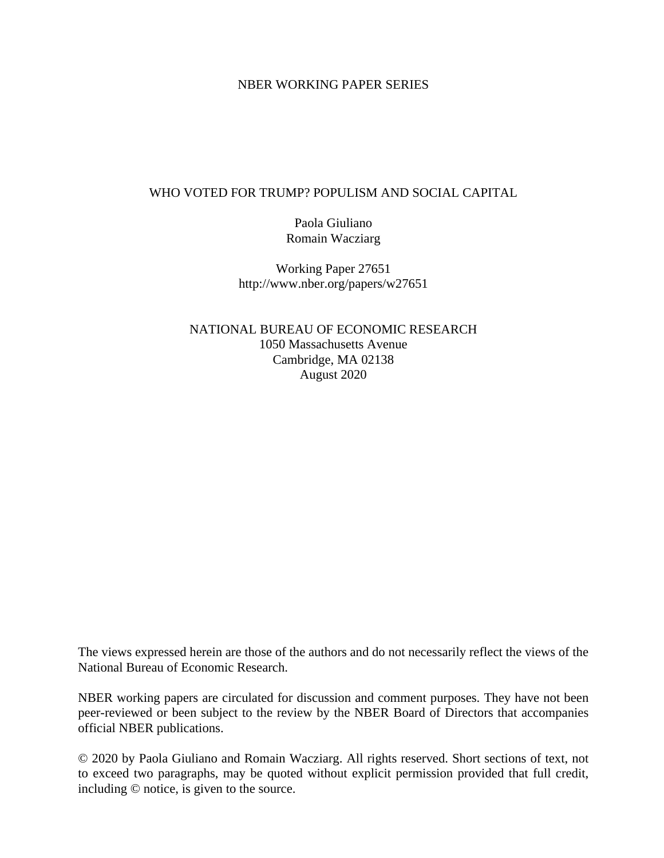## NBER WORKING PAPER SERIES

## WHO VOTED FOR TRUMP? POPULISM AND SOCIAL CAPITAL

Paola Giuliano Romain Wacziarg

Working Paper 27651 http://www.nber.org/papers/w27651

NATIONAL BUREAU OF ECONOMIC RESEARCH 1050 Massachusetts Avenue Cambridge, MA 02138 August 2020

The views expressed herein are those of the authors and do not necessarily reflect the views of the National Bureau of Economic Research.

NBER working papers are circulated for discussion and comment purposes. They have not been peer-reviewed or been subject to the review by the NBER Board of Directors that accompanies official NBER publications.

© 2020 by Paola Giuliano and Romain Wacziarg. All rights reserved. Short sections of text, not to exceed two paragraphs, may be quoted without explicit permission provided that full credit, including © notice, is given to the source.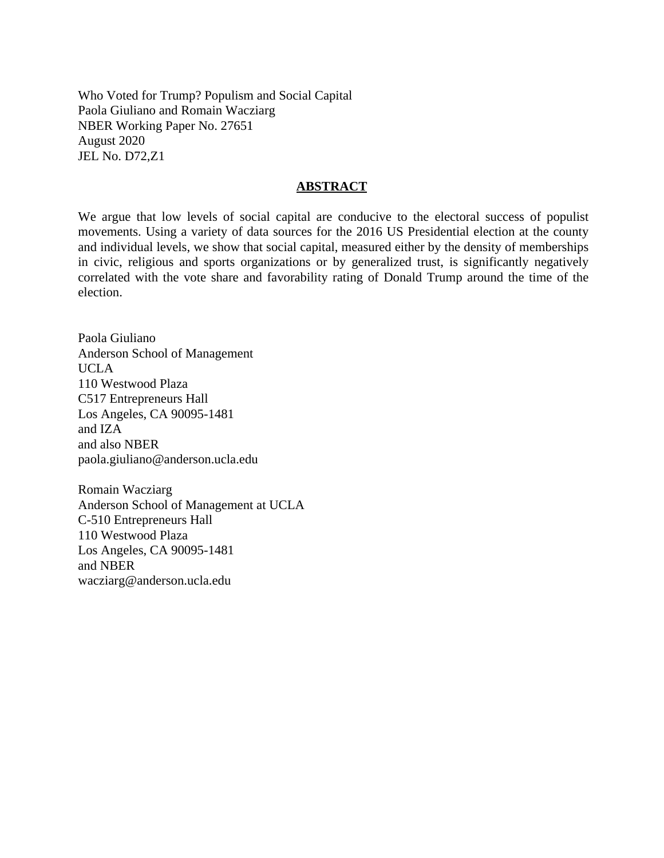Who Voted for Trump? Populism and Social Capital Paola Giuliano and Romain Wacziarg NBER Working Paper No. 27651 August 2020 JEL No. D72,Z1

### **ABSTRACT**

We argue that low levels of social capital are conducive to the electoral success of populist movements. Using a variety of data sources for the 2016 US Presidential election at the county and individual levels, we show that social capital, measured either by the density of memberships in civic, religious and sports organizations or by generalized trust, is significantly negatively correlated with the vote share and favorability rating of Donald Trump around the time of the election.

Paola Giuliano Anderson School of Management UCLA 110 Westwood Plaza C517 Entrepreneurs Hall Los Angeles, CA 90095-1481 and IZA and also NBER paola.giuliano@anderson.ucla.edu

Romain Wacziarg Anderson School of Management at UCLA C-510 Entrepreneurs Hall 110 Westwood Plaza Los Angeles, CA 90095-1481 and NBER wacziarg@anderson.ucla.edu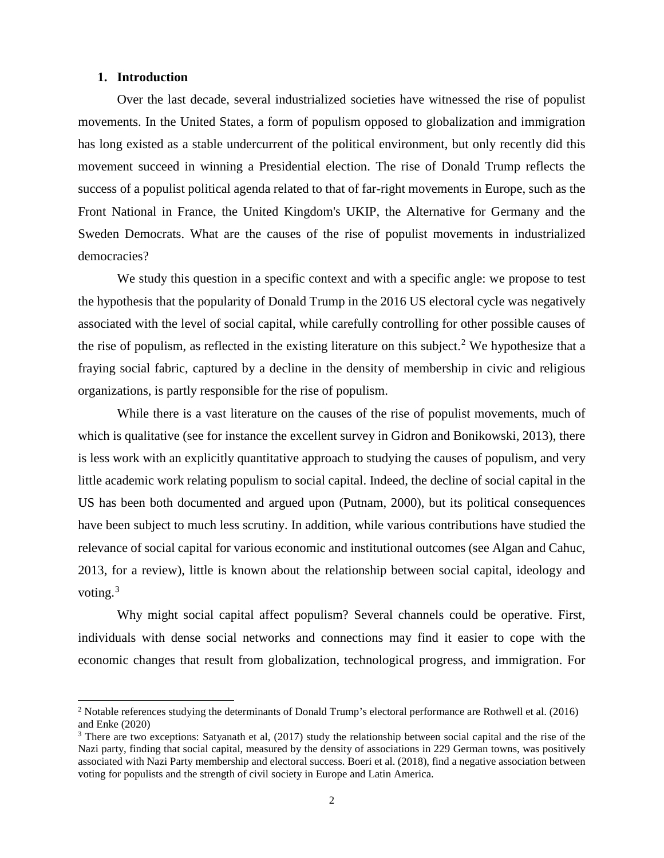#### **1. Introduction**

 $\overline{a}$ 

Over the last decade, several industrialized societies have witnessed the rise of populist movements. In the United States, a form of populism opposed to globalization and immigration has long existed as a stable undercurrent of the political environment, but only recently did this movement succeed in winning a Presidential election. The rise of Donald Trump reflects the success of a populist political agenda related to that of far-right movements in Europe, such as the Front National in France, the United Kingdom's UKIP, the Alternative for Germany and the Sweden Democrats. What are the causes of the rise of populist movements in industrialized democracies?

We study this question in a specific context and with a specific angle: we propose to test the hypothesis that the popularity of Donald Trump in the 2016 US electoral cycle was negatively associated with the level of social capital, while carefully controlling for other possible causes of the rise of populism, as reflected in the existing literature on this subject.<sup>[2](#page-2-0)</sup> We hypothesize that a fraying social fabric, captured by a decline in the density of membership in civic and religious organizations, is partly responsible for the rise of populism.

While there is a vast literature on the causes of the rise of populist movements, much of which is qualitative (see for instance the excellent survey in Gidron and Bonikowski, 2013), there is less work with an explicitly quantitative approach to studying the causes of populism, and very little academic work relating populism to social capital. Indeed, the decline of social capital in the US has been both documented and argued upon (Putnam, 2000), but its political consequences have been subject to much less scrutiny. In addition, while various contributions have studied the relevance of social capital for various economic and institutional outcomes (see Algan and Cahuc, 2013, for a review), little is known about the relationship between social capital, ideology and voting. $3$ 

Why might social capital affect populism? Several channels could be operative. First, individuals with dense social networks and connections may find it easier to cope with the economic changes that result from globalization, technological progress, and immigration. For

<span id="page-2-0"></span><sup>&</sup>lt;sup>2</sup> Notable references studying the determinants of Donald Trump's electoral performance are Rothwell et al. (2016) and Enke (2020)<br><sup>3</sup> There are two exceptions: Satyanath et al, (2017) study the relationship between social capital and the rise of the

<span id="page-2-1"></span>Nazi party, finding that social capital, measured by the density of associations in 229 German towns, was positively associated with Nazi Party membership and electoral success. Boeri et al. (2018), find a negative association between voting for populists and the strength of civil society in Europe and Latin America.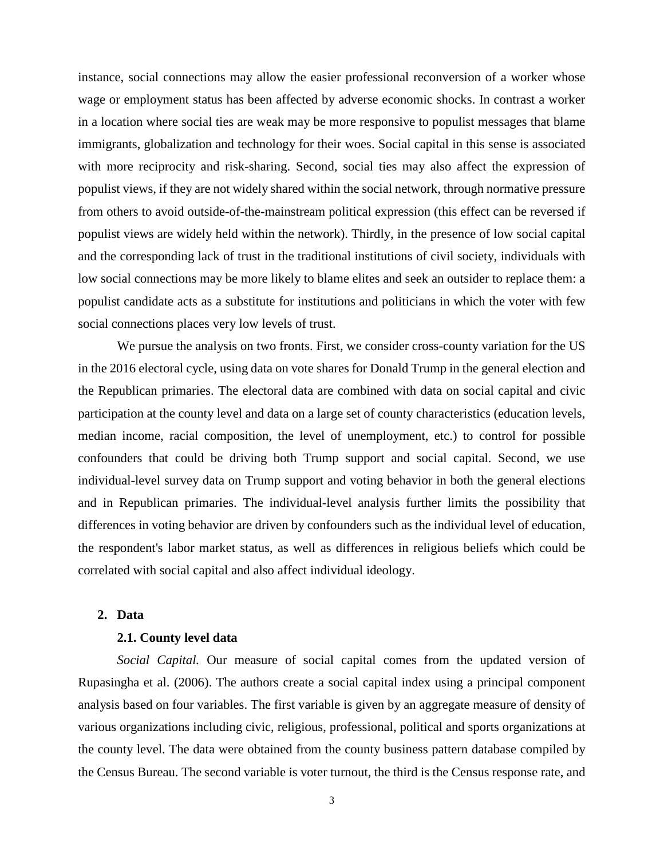instance, social connections may allow the easier professional reconversion of a worker whose wage or employment status has been affected by adverse economic shocks. In contrast a worker in a location where social ties are weak may be more responsive to populist messages that blame immigrants, globalization and technology for their woes. Social capital in this sense is associated with more reciprocity and risk-sharing. Second, social ties may also affect the expression of populist views, if they are not widely shared within the social network, through normative pressure from others to avoid outside-of-the-mainstream political expression (this effect can be reversed if populist views are widely held within the network). Thirdly, in the presence of low social capital and the corresponding lack of trust in the traditional institutions of civil society, individuals with low social connections may be more likely to blame elites and seek an outsider to replace them: a populist candidate acts as a substitute for institutions and politicians in which the voter with few social connections places very low levels of trust.

We pursue the analysis on two fronts. First, we consider cross-county variation for the US in the 2016 electoral cycle, using data on vote shares for Donald Trump in the general election and the Republican primaries. The electoral data are combined with data on social capital and civic participation at the county level and data on a large set of county characteristics (education levels, median income, racial composition, the level of unemployment, etc.) to control for possible confounders that could be driving both Trump support and social capital. Second, we use individual-level survey data on Trump support and voting behavior in both the general elections and in Republican primaries. The individual-level analysis further limits the possibility that differences in voting behavior are driven by confounders such as the individual level of education, the respondent's labor market status, as well as differences in religious beliefs which could be correlated with social capital and also affect individual ideology.

## **2. Data**

#### **2.1. County level data**

*Social Capital.* Our measure of social capital comes from the updated version of Rupasingha et al. (2006). The authors create a social capital index using a principal component analysis based on four variables. The first variable is given by an aggregate measure of density of various organizations including civic, religious, professional, political and sports organizations at the county level. The data were obtained from the county business pattern database compiled by the Census Bureau. The second variable is voter turnout, the third is the Census response rate, and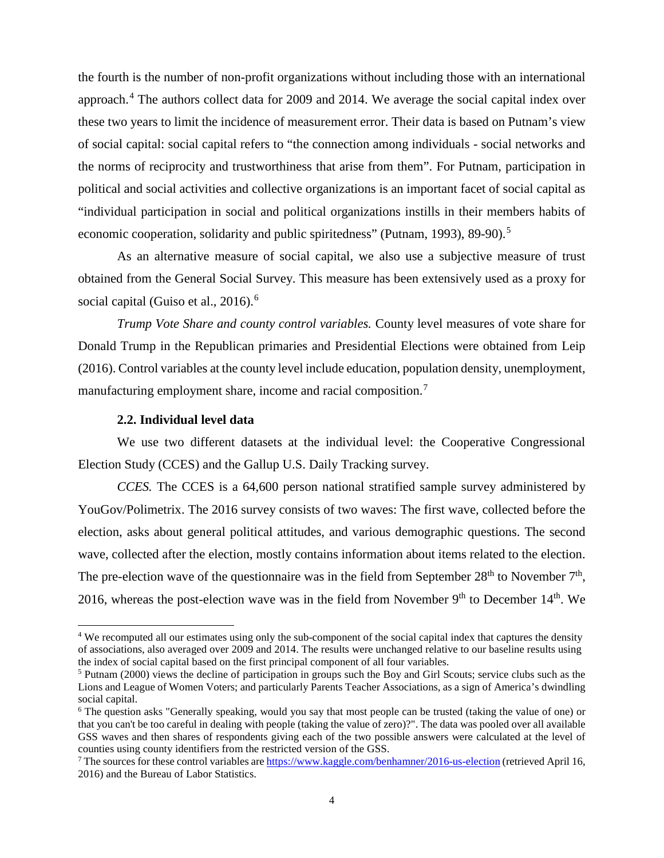the fourth is the number of non-profit organizations without including those with an international approach.[4](#page-4-0) The authors collect data for 2009 and 2014. We average the social capital index over these two years to limit the incidence of measurement error. Their data is based on Putnam's view of social capital: social capital refers to "the connection among individuals - social networks and the norms of reciprocity and trustworthiness that arise from them". For Putnam, participation in political and social activities and collective organizations is an important facet of social capital as "individual participation in social and political organizations instills in their members habits of economic cooperation, solidarity and public spiritedness" (Putnam, 1993), 89-90).<sup>[5](#page-4-1)</sup>

As an alternative measure of social capital, we also use a subjective measure of trust obtained from the General Social Survey. This measure has been extensively used as a proxy for social capital (Guiso et al., 201[6](#page-4-2)).<sup>6</sup>

*Trump Vote Share and county control variables.* County level measures of vote share for Donald Trump in the Republican primaries and Presidential Elections were obtained from Leip (2016). Control variables at the county level include education, population density, unemployment, manufacturing employment share, income and racial composition.<sup>[7](#page-4-3)</sup>

## **2.2. Individual level data**

 $\overline{a}$ 

We use two different datasets at the individual level: the Cooperative Congressional Election Study (CCES) and the Gallup U.S. Daily Tracking survey.

*CCES.* The CCES is a 64,600 person national stratified sample survey administered by YouGov/Polimetrix. The 2016 survey consists of two waves: The first wave, collected before the election, asks about general political attitudes, and various demographic questions. The second wave, collected after the election, mostly contains information about items related to the election. The pre-election wave of the questionnaire was in the field from September  $28<sup>th</sup>$  to November  $7<sup>th</sup>$ , 2016, whereas the post-election wave was in the field from November  $9<sup>th</sup>$  to December 14<sup>th</sup>. We

<span id="page-4-0"></span><sup>4</sup> We recomputed all our estimates using only the sub-component of the social capital index that captures the density of associations, also averaged over 2009 and 2014. The results were unchanged relative to our baseline results using the index of social capital based on the first principal component of all four variables.

<span id="page-4-1"></span><sup>5</sup> Putnam (2000) views the decline of participation in groups such the Boy and Girl Scouts; service clubs such as the Lions and League of Women Voters; and particularly Parents Teacher Associations, as a sign of America's dwindling social capital.

<span id="page-4-2"></span><sup>6</sup> The question asks "Generally speaking, would you say that most people can be trusted (taking the value of one) or that you can't be too careful in dealing with people (taking the value of zero)?". The data was pooled over all available GSS waves and then shares of respondents giving each of the two possible answers were calculated at the level of counties using county identifiers from the restricted version of the GSS.

<span id="page-4-3"></span><sup>7</sup> The sources for these control variables are<https://www.kaggle.com/benhamner/2016-us-election> (retrieved April 16, 2016) and the Bureau of Labor Statistics.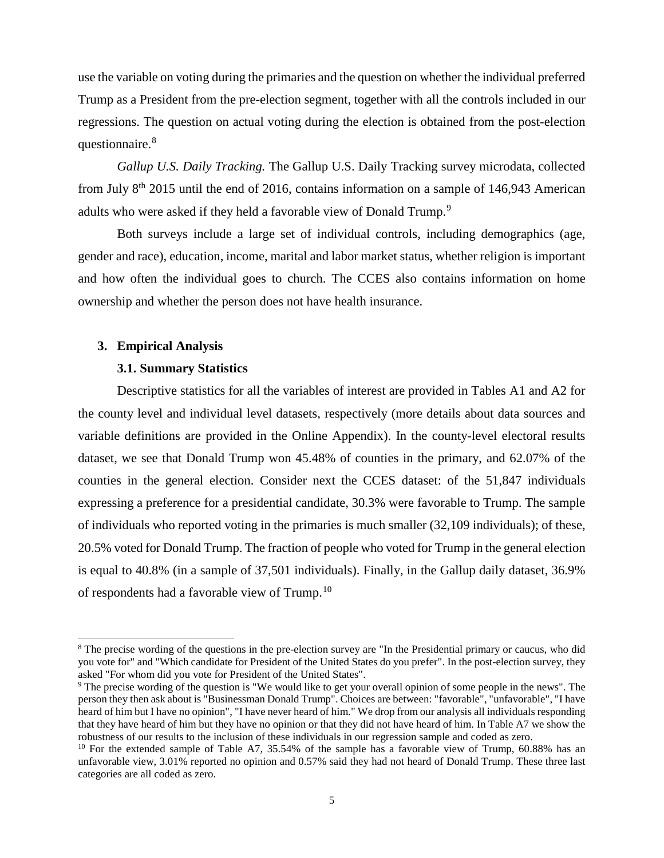use the variable on voting during the primaries and the question on whether the individual preferred Trump as a President from the pre-election segment, together with all the controls included in our regressions. The question on actual voting during the election is obtained from the post-election questionnaire.<sup>[8](#page-5-0)</sup>

*Gallup U.S. Daily Tracking.* The Gallup U.S. Daily Tracking survey microdata, collected from July  $8<sup>th</sup>$  2015 until the end of 2016, contains information on a sample of 146,943 American adults who were asked if they held a favorable view of Donald Trump.<sup>[9](#page-5-1)</sup>

Both surveys include a large set of individual controls, including demographics (age, gender and race), education, income, marital and labor market status, whether religion is important and how often the individual goes to church. The CCES also contains information on home ownership and whether the person does not have health insurance.

#### **3. Empirical Analysis**

 $\overline{a}$ 

#### **3.1. Summary Statistics**

Descriptive statistics for all the variables of interest are provided in Tables A1 and A2 for the county level and individual level datasets, respectively (more details about data sources and variable definitions are provided in the Online Appendix). In the county-level electoral results dataset, we see that Donald Trump won 45.48% of counties in the primary, and 62.07% of the counties in the general election. Consider next the CCES dataset: of the 51,847 individuals expressing a preference for a presidential candidate, 30.3% were favorable to Trump. The sample of individuals who reported voting in the primaries is much smaller (32,109 individuals); of these, 20.5% voted for Donald Trump. The fraction of people who voted for Trump in the general election is equal to 40.8% (in a sample of 37,501 individuals). Finally, in the Gallup daily dataset, 36.9% of respondents had a favorable view of Trump.[10](#page-5-2)

<span id="page-5-0"></span><sup>&</sup>lt;sup>8</sup> The precise wording of the questions in the pre-election survey are "In the Presidential primary or caucus, who did you vote for" and "Which candidate for President of the United States do you prefer". In the post-election survey, they asked "For whom did you vote for President of the United States".

<span id="page-5-1"></span><sup>9</sup> The precise wording of the question is "We would like to get your overall opinion of some people in the news". The person they then ask about is "Businessman Donald Trump". Choices are between: "favorable", "unfavorable", "I have heard of him but I have no opinion", "I have never heard of him." We drop from our analysis all individuals responding that they have heard of him but they have no opinion or that they did not have heard of him. In Table A7 we show the robustness of our results to the inclusion of these individuals in our regression sample and coded as zero.

<span id="page-5-2"></span><sup>&</sup>lt;sup>10</sup> For the extended sample of Table A7, 35.54% of the sample has a favorable view of Trump, 60.88% has an unfavorable view, 3.01% reported no opinion and 0.57% said they had not heard of Donald Trump. These three last categories are all coded as zero.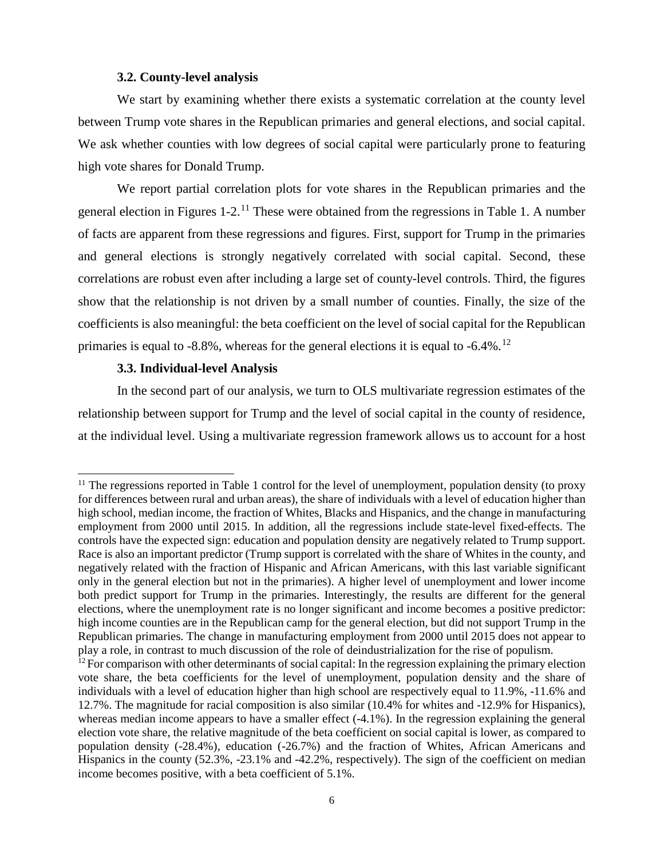#### **3.2. County-level analysis**

We start by examining whether there exists a systematic correlation at the county level between Trump vote shares in the Republican primaries and general elections, and social capital. We ask whether counties with low degrees of social capital were particularly prone to featuring high vote shares for Donald Trump.

We report partial correlation plots for vote shares in the Republican primaries and the general election in Figures 1-2.[11](#page-6-0) These were obtained from the regressions in Table 1. A number of facts are apparent from these regressions and figures. First, support for Trump in the primaries and general elections is strongly negatively correlated with social capital. Second, these correlations are robust even after including a large set of county-level controls. Third, the figures show that the relationship is not driven by a small number of counties. Finally, the size of the coefficients is also meaningful: the beta coefficient on the level of social capital for the Republican primaries is equal to  $-8.8\%$ , whereas for the general elections it is equal to  $-6.4\%$ .<sup>[12](#page-6-1)</sup>

#### **3.3. Individual-level Analysis**

 $\overline{a}$ 

In the second part of our analysis, we turn to OLS multivariate regression estimates of the relationship between support for Trump and the level of social capital in the county of residence, at the individual level. Using a multivariate regression framework allows us to account for a host

<span id="page-6-0"></span><sup>&</sup>lt;sup>11</sup> The regressions reported in Table 1 control for the level of unemployment, population density (to proxy for differences between rural and urban areas), the share of individuals with a level of education higher than high school, median income, the fraction of Whites, Blacks and Hispanics, and the change in manufacturing employment from 2000 until 2015. In addition, all the regressions include state-level fixed-effects. The controls have the expected sign: education and population density are negatively related to Trump support. Race is also an important predictor (Trump support is correlated with the share of Whites in the county, and negatively related with the fraction of Hispanic and African Americans, with this last variable significant only in the general election but not in the primaries). A higher level of unemployment and lower income both predict support for Trump in the primaries. Interestingly, the results are different for the general elections, where the unemployment rate is no longer significant and income becomes a positive predictor: high income counties are in the Republican camp for the general election, but did not support Trump in the Republican primaries. The change in manufacturing employment from 2000 until 2015 does not appear to play a role, in contrast to much discussion of the role of deindustrialization for the rise of populism.

<span id="page-6-1"></span> $12$  For comparison with other determinants of social capital: In the regression explaining the primary election vote share, the beta coefficients for the level of unemployment, population density and the share of individuals with a level of education higher than high school are respectively equal to 11.9%, -11.6% and 12.7%. The magnitude for racial composition is also similar (10.4% for whites and -12.9% for Hispanics), whereas median income appears to have a smaller effect (-4.1%). In the regression explaining the general election vote share, the relative magnitude of the beta coefficient on social capital is lower, as compared to population density (-28.4%), education (-26.7%) and the fraction of Whites, African Americans and Hispanics in the county (52.3%, -23.1% and -42.2%, respectively). The sign of the coefficient on median income becomes positive, with a beta coefficient of 5.1%.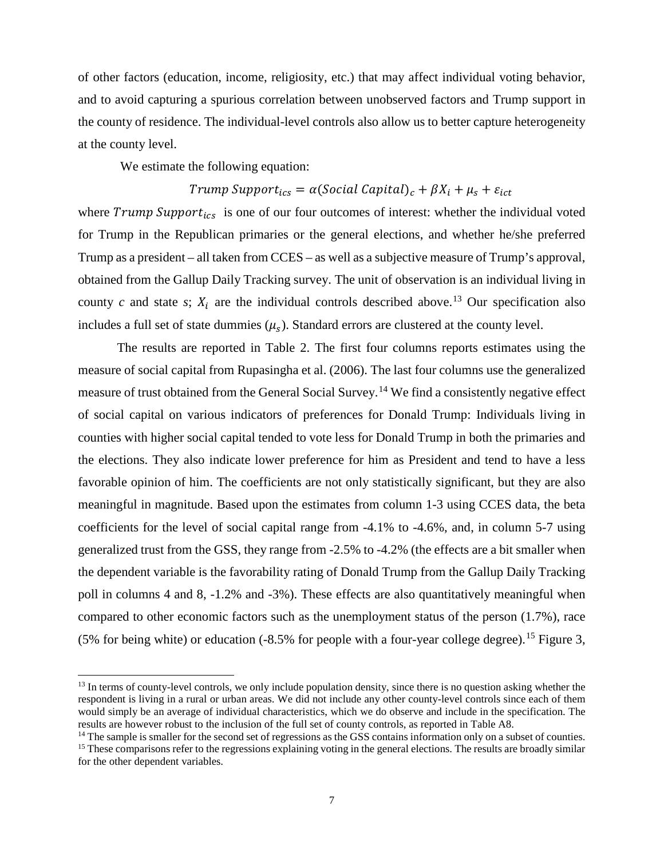of other factors (education, income, religiosity, etc.) that may affect individual voting behavior, and to avoid capturing a spurious correlation between unobserved factors and Trump support in the county of residence. The individual-level controls also allow us to better capture heterogeneity at the county level.

We estimate the following equation:

 $\overline{a}$ 

## Trump Support<sub>ics</sub> =  $\alpha$ (Social Capital)<sub>c</sub> +  $\beta X_i + \mu_s + \varepsilon_{ict}$

where  $Trump\,Support_{ics}$  is one of our four outcomes of interest: whether the individual voted for Trump in the Republican primaries or the general elections, and whether he/she preferred Trump as a president – all taken from CCES – as well as a subjective measure of Trump's approval, obtained from the Gallup Daily Tracking survey. The unit of observation is an individual living in county *c* and state *s*;  $X_i$  are the individual controls described above.<sup>[13](#page-7-0)</sup> Our specification also includes a full set of state dummies  $(\mu_s)$ . Standard errors are clustered at the county level.

The results are reported in Table 2. The first four columns reports estimates using the measure of social capital from Rupasingha et al. (2006). The last four columns use the generalized measure of trust obtained from the General Social Survey.<sup>[14](#page-7-1)</sup> We find a consistently negative effect of social capital on various indicators of preferences for Donald Trump: Individuals living in counties with higher social capital tended to vote less for Donald Trump in both the primaries and the elections. They also indicate lower preference for him as President and tend to have a less favorable opinion of him. The coefficients are not only statistically significant, but they are also meaningful in magnitude. Based upon the estimates from column 1-3 using CCES data, the beta coefficients for the level of social capital range from -4.1% to -4.6%, and, in column 5-7 using generalized trust from the GSS, they range from -2.5% to -4.2% (the effects are a bit smaller when the dependent variable is the favorability rating of Donald Trump from the Gallup Daily Tracking poll in columns 4 and 8, -1.2% and -3%). These effects are also quantitatively meaningful when compared to other economic factors such as the unemployment status of the person (1.7%), race (5% for being white) or education  $(-8.5\%$  for people with a four-year college degree).<sup>[15](#page-7-2)</sup> Figure 3,

<span id="page-7-0"></span><sup>&</sup>lt;sup>13</sup> In terms of county-level controls, we only include population density, since there is no question asking whether the respondent is living in a rural or urban areas. We did not include any other county-level controls since each of them would simply be an average of individual characteristics, which we do observe and include in the specification. The results are however robust to the inclusion of the full set of county controls, as reported in Table A8.

<span id="page-7-1"></span><sup>&</sup>lt;sup>14</sup> The sample is smaller for the second set of regressions as the GSS contains information only on a subset of counties.

<span id="page-7-2"></span><sup>&</sup>lt;sup>15</sup> These comparisons refer to the regressions explaining voting in the general elections. The results are broadly similar for the other dependent variables.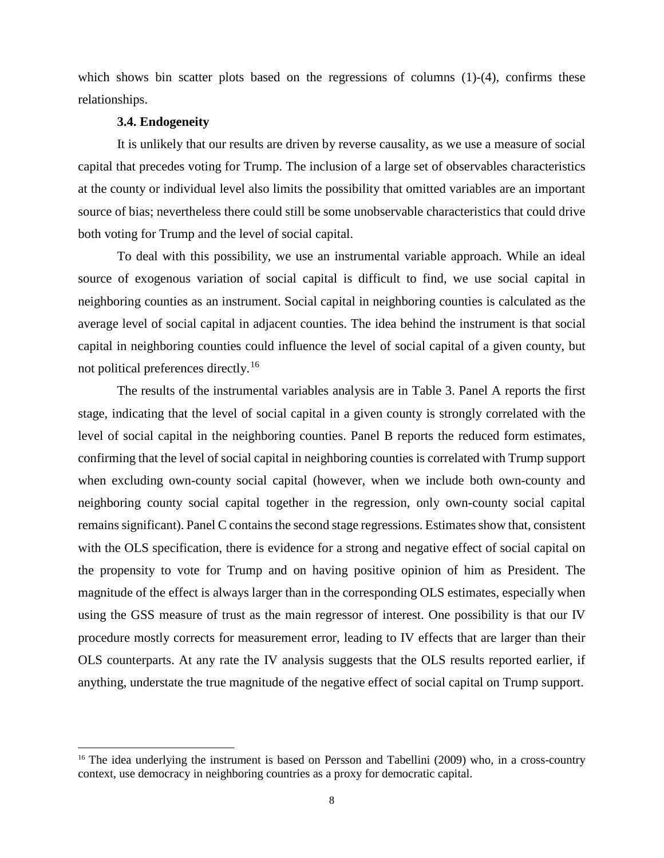which shows bin scatter plots based on the regressions of columns (1)-(4), confirms these relationships.

#### **3.4. Endogeneity**

 $\overline{a}$ 

It is unlikely that our results are driven by reverse causality, as we use a measure of social capital that precedes voting for Trump. The inclusion of a large set of observables characteristics at the county or individual level also limits the possibility that omitted variables are an important source of bias; nevertheless there could still be some unobservable characteristics that could drive both voting for Trump and the level of social capital.

To deal with this possibility, we use an instrumental variable approach. While an ideal source of exogenous variation of social capital is difficult to find, we use social capital in neighboring counties as an instrument. Social capital in neighboring counties is calculated as the average level of social capital in adjacent counties. The idea behind the instrument is that social capital in neighboring counties could influence the level of social capital of a given county, but not political preferences directly.[16](#page-8-0)

The results of the instrumental variables analysis are in Table 3. Panel A reports the first stage, indicating that the level of social capital in a given county is strongly correlated with the level of social capital in the neighboring counties. Panel B reports the reduced form estimates, confirming that the level of social capital in neighboring counties is correlated with Trump support when excluding own-county social capital (however, when we include both own-county and neighboring county social capital together in the regression, only own-county social capital remains significant). Panel C contains the second stage regressions. Estimates show that, consistent with the OLS specification, there is evidence for a strong and negative effect of social capital on the propensity to vote for Trump and on having positive opinion of him as President. The magnitude of the effect is always larger than in the corresponding OLS estimates, especially when using the GSS measure of trust as the main regressor of interest. One possibility is that our IV procedure mostly corrects for measurement error, leading to IV effects that are larger than their OLS counterparts. At any rate the IV analysis suggests that the OLS results reported earlier, if anything, understate the true magnitude of the negative effect of social capital on Trump support.

<span id="page-8-0"></span><sup>&</sup>lt;sup>16</sup> The idea underlying the instrument is based on Persson and Tabellini (2009) who, in a cross-country context, use democracy in neighboring countries as a proxy for democratic capital.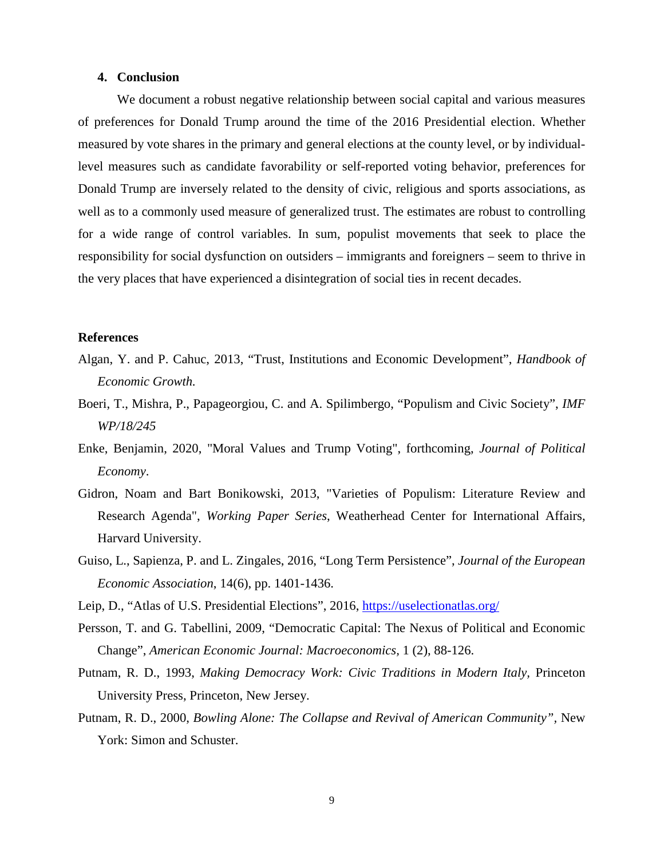#### **4. Conclusion**

We document a robust negative relationship between social capital and various measures of preferences for Donald Trump around the time of the 2016 Presidential election. Whether measured by vote shares in the primary and general elections at the county level, or by individuallevel measures such as candidate favorability or self-reported voting behavior, preferences for Donald Trump are inversely related to the density of civic, religious and sports associations, as well as to a commonly used measure of generalized trust. The estimates are robust to controlling for a wide range of control variables. In sum, populist movements that seek to place the responsibility for social dysfunction on outsiders – immigrants and foreigners – seem to thrive in the very places that have experienced a disintegration of social ties in recent decades.

#### **References**

- Algan, Y. and P. Cahuc, 2013, "Trust, Institutions and Economic Development", *Handbook of Economic Growth.*
- Boeri, T., Mishra, P., Papageorgiou, C. and A. Spilimbergo, "Populism and Civic Society", *IMF WP/18/245*
- Enke, Benjamin, 2020, "Moral Values and Trump Voting", forthcoming, *Journal of Political Economy*.
- Gidron, Noam and Bart Bonikowski, 2013, "Varieties of Populism: Literature Review and Research Agenda", *Working Paper Series*, Weatherhead Center for International Affairs, Harvard University.
- Guiso, L., Sapienza, P. and L. Zingales, 2016, "Long Term Persistence", *Journal of the European Economic Association*, 14(6), pp. 1401-1436.
- Leip, D., "Atlas of U.S. Presidential Elections", 2016,<https://uselectionatlas.org/>
- Persson, T. and G. Tabellini, 2009, "Democratic Capital: The Nexus of Political and Economic Change", *American Economic Journal: Macroeconomics,* 1 (2), 88-126.
- Putnam, R. D., 1993, *Making Democracy Work: Civic Traditions in Modern Italy*, Princeton University Press, Princeton, New Jersey.
- Putnam, R. D., 2000, *Bowling Alone: The Collapse and Revival of American Community",* New York: Simon and Schuster.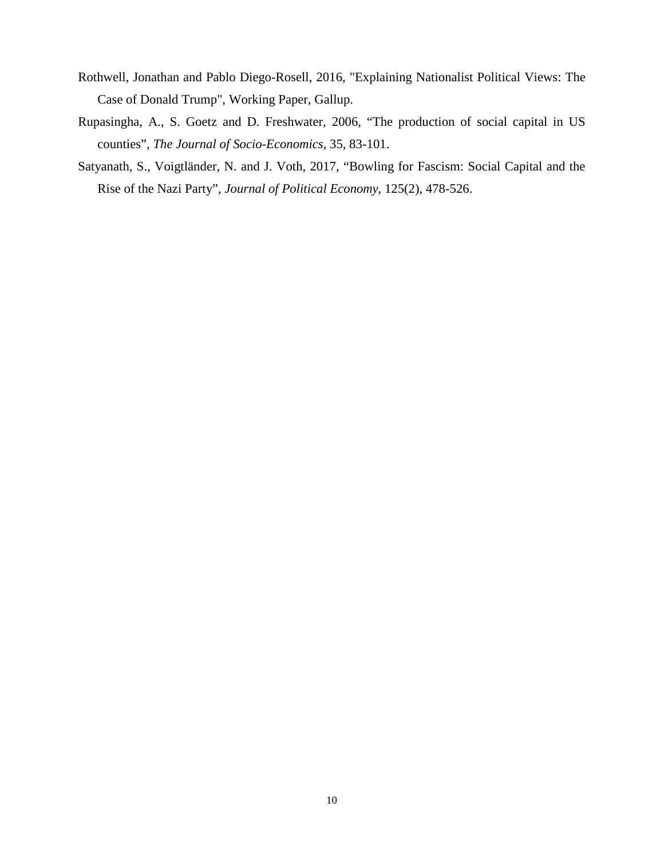- Rothwell, Jonathan and Pablo Diego-Rosell, 2016, "Explaining Nationalist Political Views: The Case of Donald Trump", Working Paper, Gallup.
- Rupasingha, A., S. Goetz and D. Freshwater, 2006, "The production of social capital in US counties", *The Journal of Socio-Economics,* 35, 83-101.
- Satyanath, S., Voigtländer, N. and J. Voth, 2017, "Bowling for Fascism: Social Capital and the Rise of the Nazi Party", *Journal of Political Economy*, 125(2), 478-526.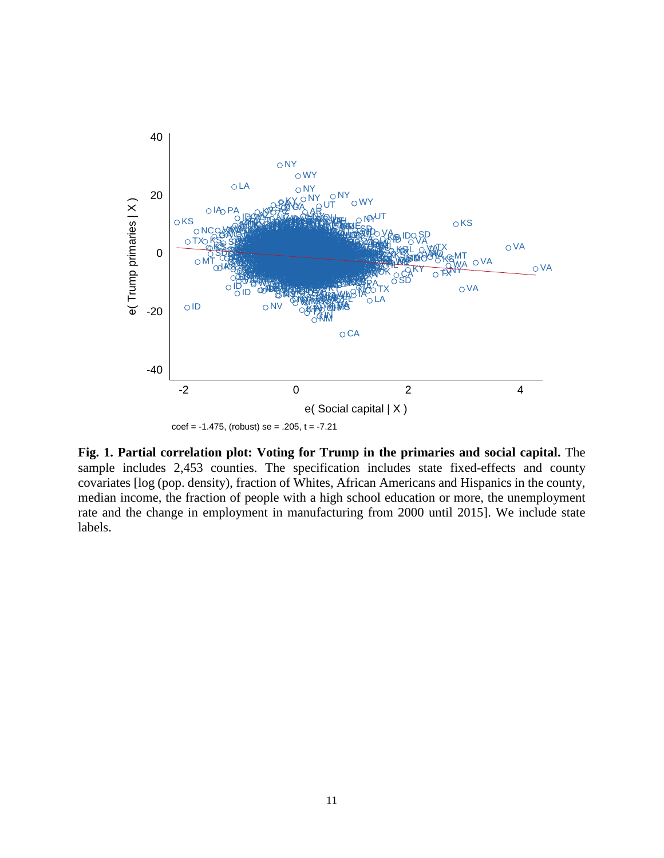

**Fig. 1. Partial correlation plot: Voting for Trump in the primaries and social capital.** The sample includes 2,453 counties. The specification includes state fixed-effects and county covariates [log (pop. density), fraction of Whites, African Americans and Hispanics in the county, median income, the fraction of people with a high school education or more, the unemployment rate and the change in employment in manufacturing from 2000 until 2015]. We include state labels.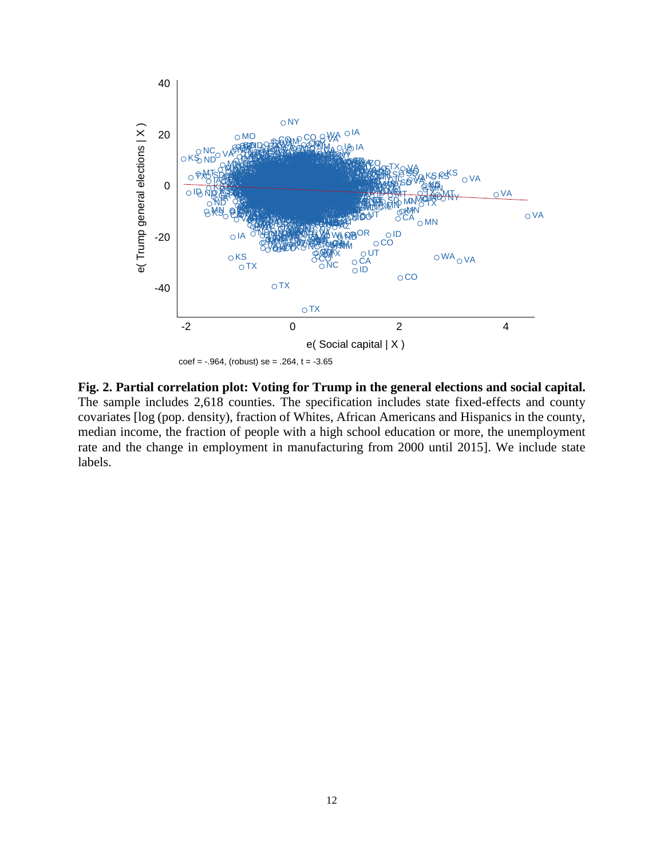

**Fig. 2. Partial correlation plot: Voting for Trump in the general elections and social capital.** The sample includes 2,618 counties. The specification includes state fixed-effects and county covariates [log (pop. density), fraction of Whites, African Americans and Hispanics in the county, median income, the fraction of people with a high school education or more, the unemployment rate and the change in employment in manufacturing from 2000 until 2015]. We include state labels.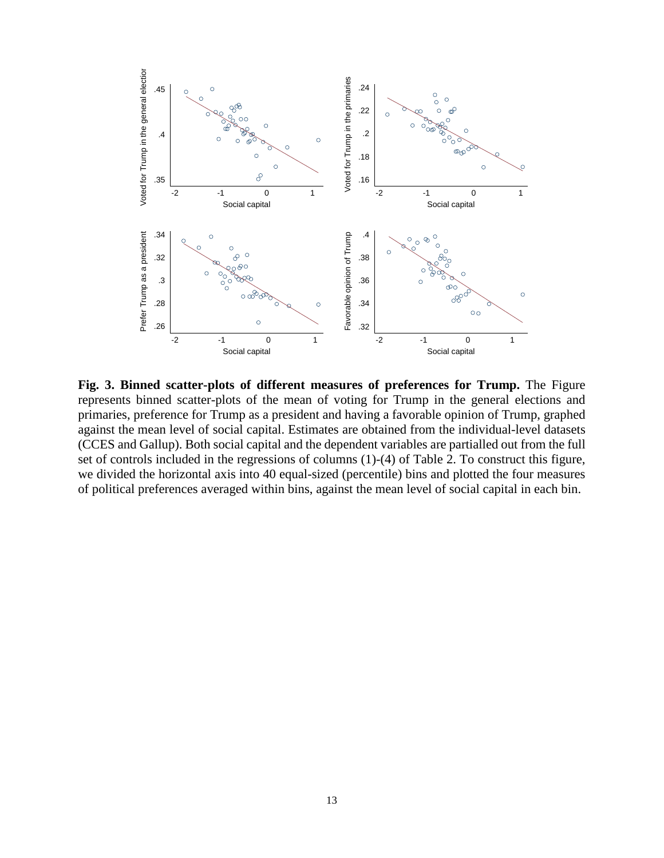

**Fig. 3. Binned scatter-plots of different measures of preferences for Trump.** The Figure represents binned scatter-plots of the mean of voting for Trump in the general elections and primaries, preference for Trump as a president and having a favorable opinion of Trump, graphed against the mean level of social capital. Estimates are obtained from the individual-level datasets (CCES and Gallup). Both social capital and the dependent variables are partialled out from the full set of controls included in the regressions of columns (1)-(4) of Table 2. To construct this figure, we divided the horizontal axis into 40 equal-sized (percentile) bins and plotted the four measures of political preferences averaged within bins, against the mean level of social capital in each bin.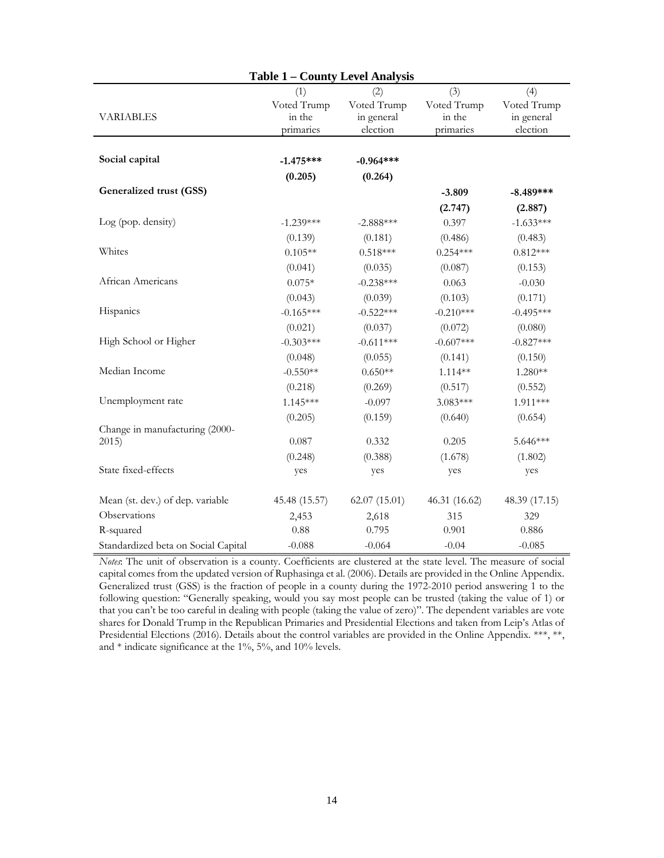|                                     | <b>Table 1 - County Level Analysis</b> |              |               |               |
|-------------------------------------|----------------------------------------|--------------|---------------|---------------|
|                                     | (1)                                    | (2)          | (3)           | (4)           |
|                                     | Voted Trump                            | Voted Trump  | Voted Trump   | Voted Trump   |
| <b>VARIABLES</b>                    | in the                                 | in general   | in the        | in general    |
|                                     | primaries                              | election     | primaries     | election      |
| Social capital                      | $-1.475***$                            | $-0.964***$  |               |               |
|                                     | (0.205)                                |              |               |               |
| <b>Generalized trust (GSS)</b>      |                                        | (0.264)      |               |               |
|                                     |                                        |              | $-3.809$      | $-8.489***$   |
|                                     |                                        |              | (2.747)       | (2.887)       |
| Log (pop. density)                  | $-1.239***$                            | $-2.888***$  | 0.397         | $-1.633***$   |
|                                     | (0.139)                                | (0.181)      | (0.486)       | (0.483)       |
| Whites                              | $0.105**$                              | $0.518***$   | $0.254***$    | $0.812***$    |
|                                     | (0.041)                                | (0.035)      | (0.087)       | (0.153)       |
| African Americans                   | $0.075*$                               | $-0.238***$  | 0.063         | $-0.030$      |
|                                     | (0.043)                                | (0.039)      | (0.103)       | (0.171)       |
| Hispanics                           | $-0.165***$                            | $-0.522***$  | $-0.210***$   | $-0.495***$   |
|                                     | (0.021)                                | (0.037)      | (0.072)       | (0.080)       |
| High School or Higher               | $-0.303***$                            | $-0.611***$  | $-0.607***$   | $-0.827***$   |
|                                     | (0.048)                                | (0.055)      | (0.141)       | (0.150)       |
| Median Income                       | $-0.550**$                             | $0.650**$    | $1.114**$     | $1.280**$     |
|                                     | (0.218)                                | (0.269)      | (0.517)       | (0.552)       |
| Unemployment rate                   | $1.145***$                             | $-0.097$     | 3.083***      | 1.911***      |
|                                     | (0.205)                                | (0.159)      | (0.640)       | (0.654)       |
| Change in manufacturing (2000-      |                                        |              |               |               |
| 2015)                               | 0.087                                  | 0.332        | 0.205         | $5.646***$    |
|                                     | (0.248)                                | (0.388)      | (1.678)       | (1.802)       |
| State fixed-effects                 | yes                                    | yes          | yes           | yes           |
| Mean (st. dev.) of dep. variable    | 45.48 (15.57)                          | 62.07(15.01) | 46.31 (16.62) | 48.39 (17.15) |
| Observations                        | 2,453                                  | 2,618        | 315           | 329           |
| R-squared                           | 0.88                                   | 0.795        | 0.901         | 0.886         |
| Standardized beta on Social Capital | $-0.088$                               | $-0.064$     | $-0.04$       | $-0.085$      |

*Notes*: The unit of observation is a county. Coefficients are clustered at the state level. The measure of social capital comes from the updated version of Ruphasinga et al. (2006). Details are provided in the Online Appendix. Generalized trust (GSS) is the fraction of people in a county during the 1972-2010 period answering 1 to the following question: "Generally speaking, would you say most people can be trusted (taking the value of 1) or that you can't be too careful in dealing with people (taking the value of zero)". The dependent variables are vote shares for Donald Trump in the Republican Primaries and Presidential Elections and taken from Leip's Atlas of Presidential Elections (2016). Details about the control variables are provided in the Online Appendix. \*\*\*, \*\*, and \* indicate significance at the 1%, 5%, and 10% levels.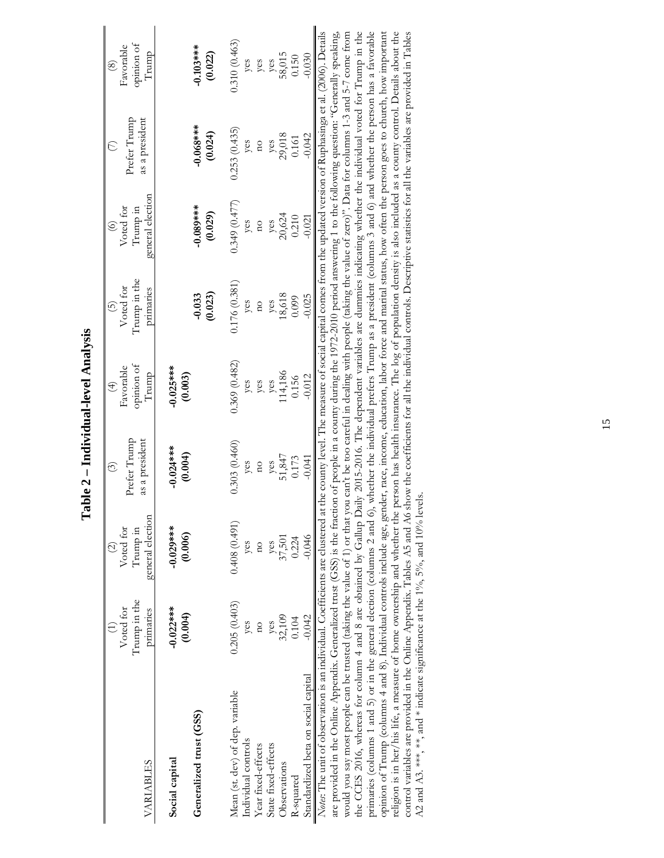| <b>VARIABLES</b>                                                                                                                                                                                                                                                                                                                                                                                                                                                                                                                                                                                                                                                                                                                                                                                                                                                                                                                                                                                                                                                                                                                                                                                                                                                                                                                                                                                                                                                                                                                                                                                                                                                                                                                 | Trump in the<br>Voted for<br>primaries                                        | general election<br>Voted for<br>Trump in<br>$\widehat{\Omega}$                            | Prefer Trump<br>as a president<br>$\widehat{\odot}$                              | opinion of<br>Favorable<br>Trump<br>$\widehat{\mathcal{F}}$       | Trump in the<br>Voted for<br>primaries<br>$\odot$                           | general election<br>Voted for<br>Trump in<br>$\odot$                        | Prefer Trump<br>as a president<br>$\epsilon$                                                                                                                                                           | opinion of<br>Favorable<br>Trump<br>$\circledast$                |
|----------------------------------------------------------------------------------------------------------------------------------------------------------------------------------------------------------------------------------------------------------------------------------------------------------------------------------------------------------------------------------------------------------------------------------------------------------------------------------------------------------------------------------------------------------------------------------------------------------------------------------------------------------------------------------------------------------------------------------------------------------------------------------------------------------------------------------------------------------------------------------------------------------------------------------------------------------------------------------------------------------------------------------------------------------------------------------------------------------------------------------------------------------------------------------------------------------------------------------------------------------------------------------------------------------------------------------------------------------------------------------------------------------------------------------------------------------------------------------------------------------------------------------------------------------------------------------------------------------------------------------------------------------------------------------------------------------------------------------|-------------------------------------------------------------------------------|--------------------------------------------------------------------------------------------|----------------------------------------------------------------------------------|-------------------------------------------------------------------|-----------------------------------------------------------------------------|-----------------------------------------------------------------------------|--------------------------------------------------------------------------------------------------------------------------------------------------------------------------------------------------------|------------------------------------------------------------------|
| Generalized trust (GSS)<br>Social capital                                                                                                                                                                                                                                                                                                                                                                                                                                                                                                                                                                                                                                                                                                                                                                                                                                                                                                                                                                                                                                                                                                                                                                                                                                                                                                                                                                                                                                                                                                                                                                                                                                                                                        | $-0.022***$<br>(0.004)                                                        | $-0.029***$<br>(0.006)                                                                     | $-0.024***$<br>(0.004)                                                           | $-0.025***$<br>(0.003)                                            | (0.023)<br>$-0.033$                                                         | $-0.089***$<br>(0.029)                                                      | $-0.068***$<br>(0.024)                                                                                                                                                                                 | $-0.103***$<br>(0.022)                                           |
| Notes: The unit of observation is an individual. Coefficients are clustered at the county level. The measure of social capital comes from the updated version of Ruphasinga et al. (2006). Details<br>the CCES 2016, whereas for column 4 and 8 are obtained by Gallup Daily 2015-2016. The dependent variables are dummies indicating whether the individual voted for Trump in the<br>primaries (columns 1 and 5) or in the general election (columns 2 and 6), whether the individual prefers Trump as a president (columns 3 and 6) and whether the person has a favorable<br>are provided in the Online Appendix. Generalized trust (GSS) is the fraction of people in a county during the 1972-2010 period answering 1 to the following question: "Generally speaking,<br>control variables are provided in the Online Appendix. Tables A5 and A6 show the coefficients for all the individual controls. Descriptive statistics for all the variables are provided in Tables<br>would you say most people can be trusted (taking the value of 1) or that you can't be too careful in dealing with people (taking the value of zero)". Data for columns 1-3 and 5-7 come from<br>opinion of Trump (columns 4 and 8). Individual controls include age, gender, race, income, education, labor force and marial status, how often the person goes to church, how important<br>A2 and A3.***, **, and * indicate significance at the $1\%$ , $5\%$ , and $10\%$ levels.<br>religion is in her/his life, a measure of home ownership and whether the<br>Standardized beta on social capital<br>Mean (st. dev) of dep. variable<br>Individual controls<br>State fixed-effects<br>Year fixed-effects<br>Observations<br>R-squared | 0.205(0.403)<br>$-0.042$<br>yes<br>$32,109$<br>0.104<br>yes<br>$\overline{n}$ | 0.408(0.491)<br>$-0.046$<br>$\frac{y \text{cs}}{37,501}$<br>0.224<br>yes<br>$\overline{a}$ | 0.303(0.460)<br>yes<br>51,847<br>$-0.041$<br>0.173<br>yes<br>$\overline{\Omega}$ | 0.369(0.482)<br>114,186<br>0.156<br>$-0.012$<br>yes<br>yes<br>yes | 0.176(0.381)<br>18,618<br>$-0.025$<br>0.099<br>yes<br>yes<br>$\overline{a}$ | 0.349(0.477)<br>yes<br>20,624<br>0.210<br>$-0.021$<br>yes<br>$\overline{a}$ | person has health insurance. The log of population density is also included as a county control. Details about the<br>0.253(0.435)<br>yes<br>29,018<br>$-0.042$<br>0.161<br>yes<br>$\overline{\Omega}$ | 0.310(0.463)<br>yes<br>58,015<br>$-0.030$<br>0.150<br>yes<br>yes |

Table 2 - Individual-level Analysis **Table 2 – Individual-level Analysis**

15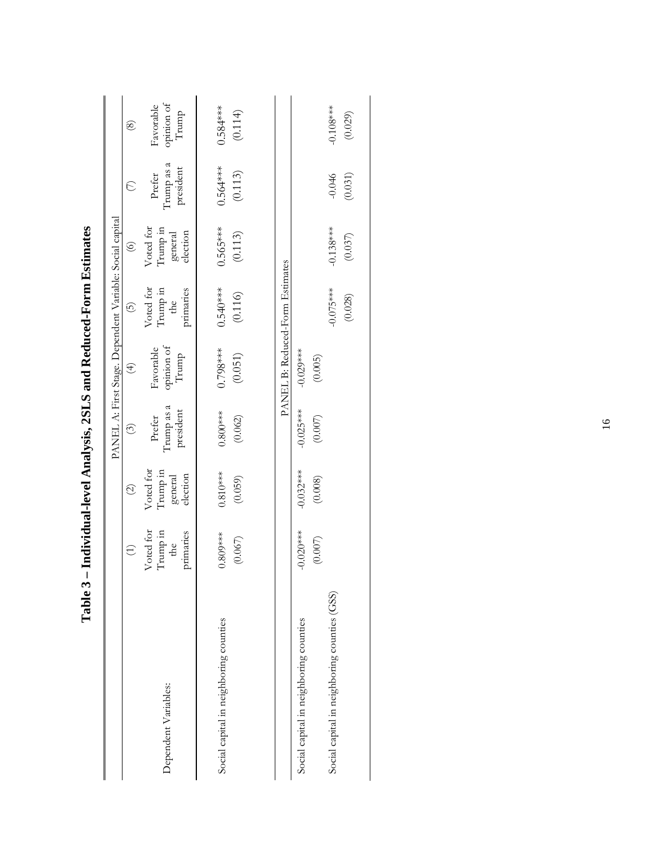|                                              |                                           |                                              |                                           | PANEL A: First Stage. Dependent Variable: Social capital |                                           |                                              |                                   |                                  |
|----------------------------------------------|-------------------------------------------|----------------------------------------------|-------------------------------------------|----------------------------------------------------------|-------------------------------------------|----------------------------------------------|-----------------------------------|----------------------------------|
|                                              | $\bigoplus$                               | $\widehat{\mathcal{O}}$                      | $\odot$                                   | $\bigoplus$                                              | $\widehat{\Theta}$                        | $\circledcirc$                               | $\odot$                           | $\circledcirc$                   |
| Dependent Variables:                         | Voted for<br>Trump in<br>primaries<br>the | Voted for<br>Trump in<br>election<br>general | $\Gamma$ rump as a<br>president<br>Prefer | opinion of<br>Favorable<br>Trump                         | Voted for<br>Trump in<br>the<br>primaries | Voted for<br>Irump in<br>election<br>general | Trump as a<br>president<br>Prefer | opinion of<br>Trump<br>Favorable |
| Social capital in neighboring counties       | $0.809***$                                | $0.810***$                                   | $0.800***$                                | $0.798***$                                               | $0.540***$                                | $0.565***$                                   | $0.564***$                        | $0.584***$                       |
|                                              | (0.067)                                   | (0.059)                                      | (0.062)                                   | (0.051)                                                  | (0.116)                                   | (0.113)                                      | (0.113)                           | (0.114)                          |
|                                              |                                           |                                              |                                           | PANEL B: Reduced-Form Estimates                          |                                           |                                              |                                   |                                  |
| Social capital in neighboring counties       | $-0.020***$                               | $-0.032***$                                  | $-0.025***$                               | $-0.029***$                                              |                                           |                                              |                                   |                                  |
|                                              | $(0.007)$                                 | (0.008)                                      | (0.007)                                   | (0.005)                                                  |                                           |                                              |                                   |                                  |
| Social capital in neighboring counties (GSS) |                                           |                                              |                                           |                                                          | $-0.075***$                               | $-0.138***$                                  | $-0.046$                          | $-0.108***$                      |
|                                              |                                           |                                              |                                           |                                                          | (0.028)                                   | (0.037)                                      | (0.031)                           | (0.029)                          |

Table 3 - Individual-level Analysis, 2SLS and Reduced-Form Estimates **Table 3 – Individual-level Analysis, 2SLS and Reduced-Form Estimates**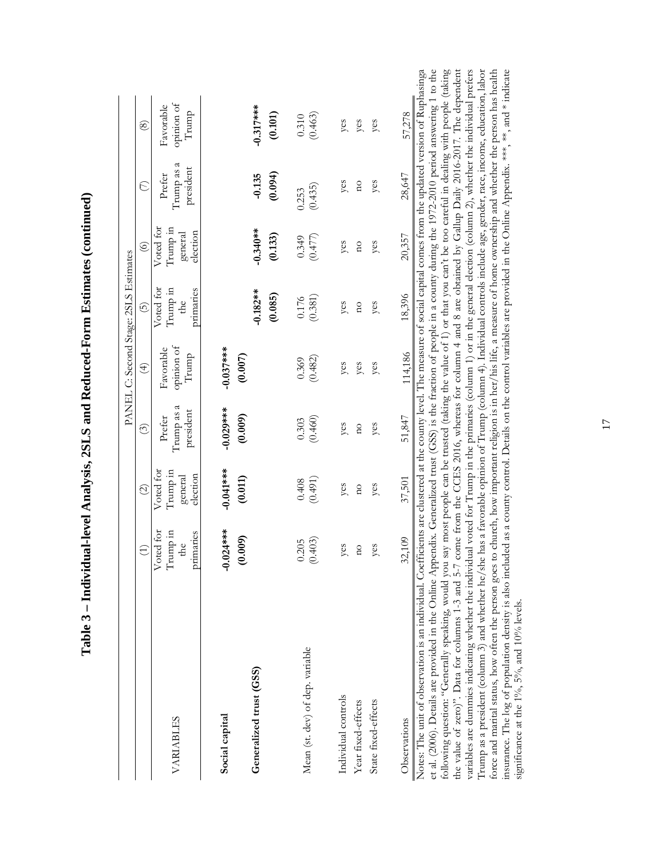|                                 |                                           |                                              |                                    |                                  | PANEL C: Second Stage: 2SLS Estimates                         |                                              |                                      |                                  |
|---------------------------------|-------------------------------------------|----------------------------------------------|------------------------------------|----------------------------------|---------------------------------------------------------------|----------------------------------------------|--------------------------------------|----------------------------------|
|                                 | $\bigoplus$                               | $\widehat{\Omega}$                           | $\odot$                            | $\bigoplus$                      | 6                                                             | $\odot$                                      | $\in$                                | $\circledS$                      |
| VARIABLES                       | Voted for<br>Trump in<br>primaries<br>the | Voted for<br>Irump in<br>election<br>general | I rump as a<br>president<br>Prefer | opinion of<br>Favorable<br>Trump | Voted for<br>Trump in<br>primaries<br>$\overline{\text{the}}$ | Voted for<br>Trump in<br>election<br>general | ₹<br>president<br>Trump as<br>Prefer | opinion of<br>Favorable<br>Trump |
| Social capital                  | $-0.024***$                               | $-0.041***$                                  | $-0.029***$                        | $-0.037***$                      |                                                               |                                              |                                      |                                  |
| Generalized trust (GSS)         | (0.009)                                   | (0.011)                                      | (0.009)                            | (0.007)                          | $-0.182**$                                                    | $-0.340**$                                   | $-0.135$                             | $-0.317***$                      |
|                                 |                                           |                                              |                                    |                                  | (0.085)                                                       | (0.133)                                      | (0.094)                              | (0.101)                          |
| Mean (st. dev) of dep. variable | (0.403)<br>0.205                          | (0.491)<br>0.408                             | (0.460)<br>0.303                   | (0.482)<br>0.369                 | (0.381)<br>0.176                                              | (0.477)<br>0.349                             | (0.435)<br>0.253                     | (0.463)<br>0.310                 |
| Individual controls             | yes                                       | yes                                          | yes                                | yes                              | yes                                                           | yes                                          | yes                                  | yes                              |
| Year fixed-effects              | $\overline{a}$                            | $\overline{a}$                               | $\overline{a}$                     | yes                              | $\overline{a}$                                                | $\overline{a}$                               | $\overline{a}$                       | yes                              |
| State fixed-effects             | yes                                       | yes                                          | yes                                | yes                              | yes                                                           | yes                                          | yes                                  | yes                              |
| Observations                    | 32,109                                    | 37,501                                       | 51,847                             | 114,186                          | 18,396                                                        | 20,357                                       | 28,647                               | 57,278                           |

| י<br>ו                   |
|--------------------------|
|                          |
|                          |
|                          |
|                          |
|                          |
|                          |
|                          |
|                          |
|                          |
|                          |
|                          |
|                          |
|                          |
|                          |
|                          |
|                          |
|                          |
|                          |
|                          |
|                          |
|                          |
|                          |
|                          |
|                          |
|                          |
|                          |
|                          |
|                          |
|                          |
|                          |
|                          |
|                          |
| ֕                        |
|                          |
|                          |
|                          |
|                          |
|                          |
|                          |
|                          |
|                          |
|                          |
|                          |
|                          |
| くりく<br>l<br>!            |
| İ                        |
|                          |
|                          |
|                          |
| י<br>י                   |
|                          |
|                          |
|                          |
|                          |
|                          |
|                          |
|                          |
|                          |
|                          |
|                          |
|                          |
|                          |
|                          |
|                          |
|                          |
|                          |
|                          |
|                          |
|                          |
|                          |
| $\overline{\phantom{a}}$ |
|                          |
|                          |
| l                        |
| ;<br>;<br>;<br>;         |
| l                        |
|                          |
|                          |
|                          |
|                          |
|                          |
|                          |
|                          |
| .<br>E<br>I              |

Notes: The unit of observation is an individual. Coefficients are clustered at the county level. The measure of social capital comes from the updated version of Ruphasinga nga<br>the et al. (2006). Details are provided in the Online Appendix. Generalized trust (GSS) is the fraction of people in a county during the 1972-2010 period answering 1 to the following question: "Generally speaking, would you say most people can be trusted (taking the value of 1) or that you can't be too careful in dealing with people (taking the value of zero)?. Data for columns 1-3 and 5-7 come from the CCES 2016, whereas for column 4 and 8 are obtained by Gallup Daily 2016-2017. The dependent the value of zero)". Data for columns 1-3 and 5-7 come from the CCES 2016, whereas for column 4 and 8 are obtained by Gallup Daily 2016-2017. The dependent variables are dummies indicating whether the individual voted for Trump in the primaries (column 1) or in the general election (column 2), whether the individual prefers variables are dummies indicating whether the individual voted for Trump in the primaries (column 1) or in the general election (column 2), whether the individual prefers Trump as a president (column 3) and whether he/she has a favorable opinion of Trump (column 4). Individual controls include age, gender, race, income, education, labor force and marital status, how often the person goes to church, how important religion is in her/his life, a measure of home ownership and whether the person has health insurance. The log of population density is also inclu force and marital status, how often the person goes to church, how important religion is in her/his life, a measure of home ownership and whether the person has health insurance. The log of population density is also included as a county control. Details on the control variables are provided in the Online Appendix. \*\*\*, and \* indicate following question: "Generally speaking, would you say most people can be trusted (taking the value of 1) or that you can't be too careful in dealing with people (taking Trump as a president (column 3) and whether he/she has a favorable opinion of Trump (column 4). Individual controls include age, gender, race, income, education, labor significance at the 1%,  $5\%$ , and 10% levels. significance at the 1%,  $5\%$ , and 10% levels.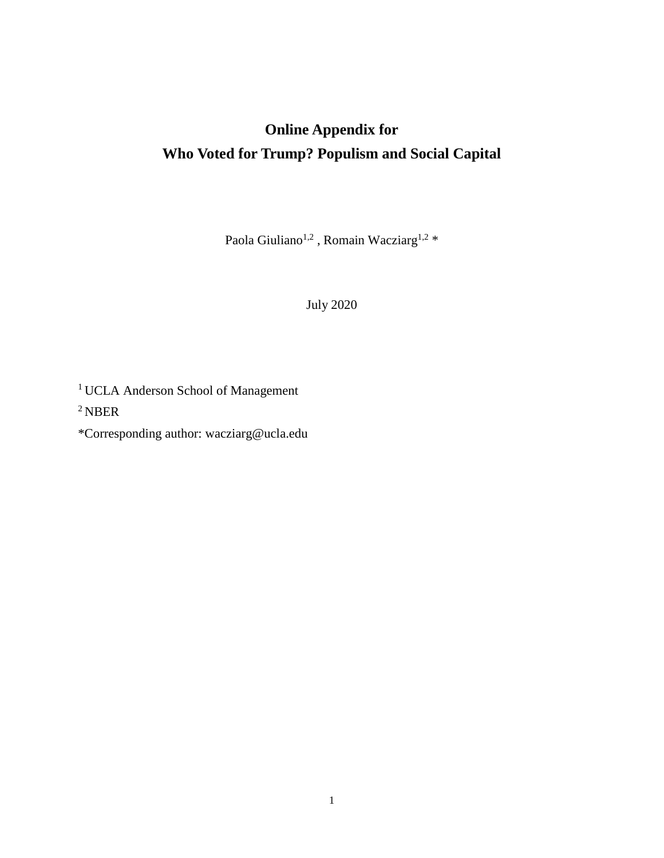# **Online Appendix for Who Voted for Trump? Populism and Social Capital**

Paola Giuliano<br/> $^{1,2}$ , Romain Wacziarg $^{1,2} \, *$ 

July 2020

1 UCLA Anderson School of Management

2 NBER

\*Corresponding author: wacziarg@ucla.edu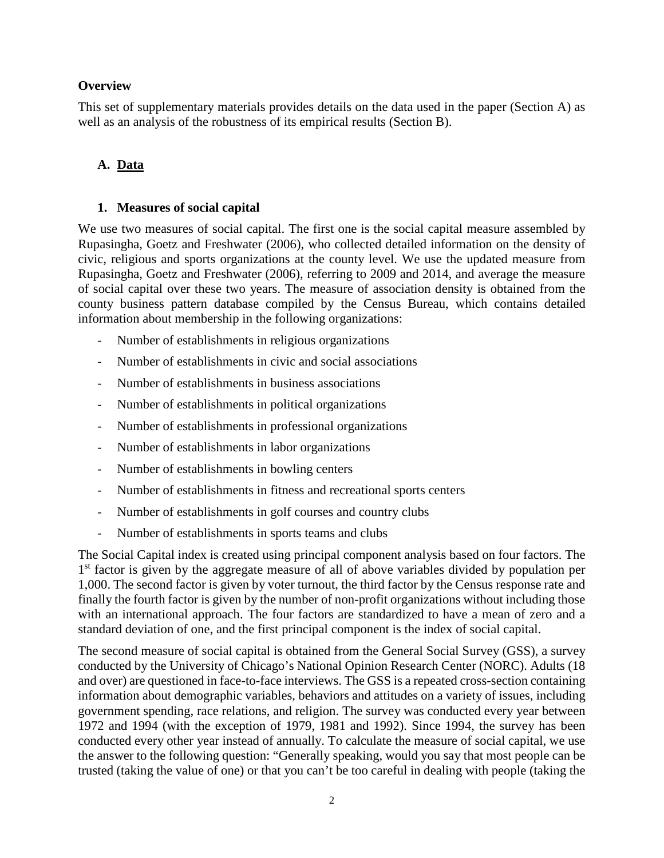## **Overview**

This set of supplementary materials provides details on the data used in the paper (Section A) as well as an analysis of the robustness of its empirical results (Section B).

## **A. Data**

## **1. Measures of social capital**

We use two measures of social capital. The first one is the social capital measure assembled by Rupasingha, Goetz and Freshwater (2006), who collected detailed information on the density of civic, religious and sports organizations at the county level. We use the updated measure from Rupasingha, Goetz and Freshwater (2006), referring to 2009 and 2014, and average the measure of social capital over these two years. The measure of association density is obtained from the county business pattern database compiled by the Census Bureau, which contains detailed information about membership in the following organizations:

- Number of establishments in religious organizations
- Number of establishments in civic and social associations
- Number of establishments in business associations
- Number of establishments in political organizations
- Number of establishments in professional organizations
- Number of establishments in labor organizations
- Number of establishments in bowling centers
- Number of establishments in fitness and recreational sports centers
- Number of establishments in golf courses and country clubs
- Number of establishments in sports teams and clubs

The Social Capital index is created using principal component analysis based on four factors. The 1<sup>st</sup> factor is given by the aggregate measure of all of above variables divided by population per 1,000. The second factor is given by voter turnout, the third factor by the Census response rate and finally the fourth factor is given by the number of non-profit organizations without including those with an international approach. The four factors are standardized to have a mean of zero and a standard deviation of one, and the first principal component is the index of social capital.

The second measure of social capital is obtained from the General Social Survey (GSS), a survey conducted by the University of Chicago's National Opinion Research Center (NORC). Adults (18 and over) are questioned in face-to-face interviews. The GSS is a repeated cross-section containing information about demographic variables, behaviors and attitudes on a variety of issues, including government spending, race relations, and religion. The survey was conducted every year between 1972 and 1994 (with the exception of 1979, 1981 and 1992). Since 1994, the survey has been conducted every other year instead of annually. To calculate the measure of social capital, we use the answer to the following question: "Generally speaking, would you say that most people can be trusted (taking the value of one) or that you can't be too careful in dealing with people (taking the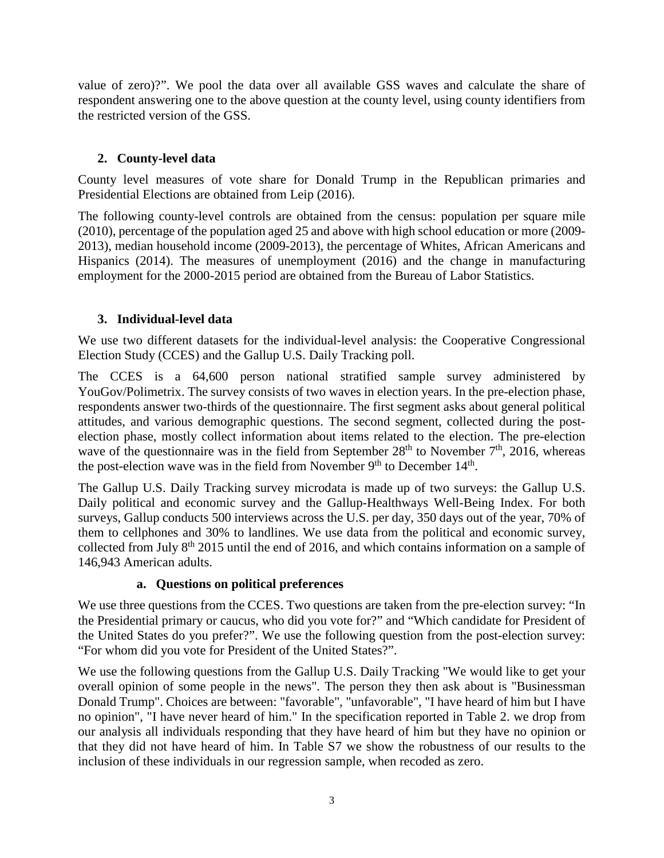value of zero)?". We pool the data over all available GSS waves and calculate the share of respondent answering one to the above question at the county level, using county identifiers from the restricted version of the GSS.

## **2. County-level data**

County level measures of vote share for Donald Trump in the Republican primaries and Presidential Elections are obtained from Leip (2016).

The following county-level controls are obtained from the census: population per square mile (2010), percentage of the population aged 25 and above with high school education or more (2009- 2013), median household income (2009-2013), the percentage of Whites, African Americans and Hispanics (2014). The measures of unemployment (2016) and the change in manufacturing employment for the 2000-2015 period are obtained from the Bureau of Labor Statistics.

## **3. Individual-level data**

We use two different datasets for the individual-level analysis: the Cooperative Congressional Election Study (CCES) and the Gallup U.S. Daily Tracking poll.

The CCES is a 64,600 person national stratified sample survey administered by YouGov/Polimetrix. The survey consists of two waves in election years. In the pre-election phase, respondents answer two-thirds of the questionnaire. The first segment asks about general political attitudes, and various demographic questions. The second segment, collected during the postelection phase, mostly collect information about items related to the election. The pre-election wave of the questionnaire was in the field from September  $28<sup>th</sup>$  to November  $7<sup>th</sup>$ , 2016, whereas the post-election wave was in the field from November  $9<sup>th</sup>$  to December  $14<sup>th</sup>$ .

The Gallup U.S. Daily Tracking survey microdata is made up of two surveys: the Gallup U.S. Daily political and economic survey and the Gallup-Healthways Well-Being Index. For both surveys, Gallup conducts 500 interviews across the U.S. per day, 350 days out of the year, 70% of them to cellphones and 30% to landlines. We use data from the political and economic survey, collected from July  $8<sup>th</sup>$  2015 until the end of 2016, and which contains information on a sample of 146,943 American adults.

## **a. Questions on political preferences**

We use three questions from the CCES. Two questions are taken from the pre-election survey: "In the Presidential primary or caucus, who did you vote for?" and "Which candidate for President of the United States do you prefer?". We use the following question from the post-election survey: "For whom did you vote for President of the United States?".

We use the following questions from the Gallup U.S. Daily Tracking "We would like to get your overall opinion of some people in the news". The person they then ask about is "Businessman Donald Trump". Choices are between: "favorable", "unfavorable", "I have heard of him but I have no opinion", "I have never heard of him." In the specification reported in Table 2. we drop from our analysis all individuals responding that they have heard of him but they have no opinion or that they did not have heard of him. In Table S7 we show the robustness of our results to the inclusion of these individuals in our regression sample, when recoded as zero.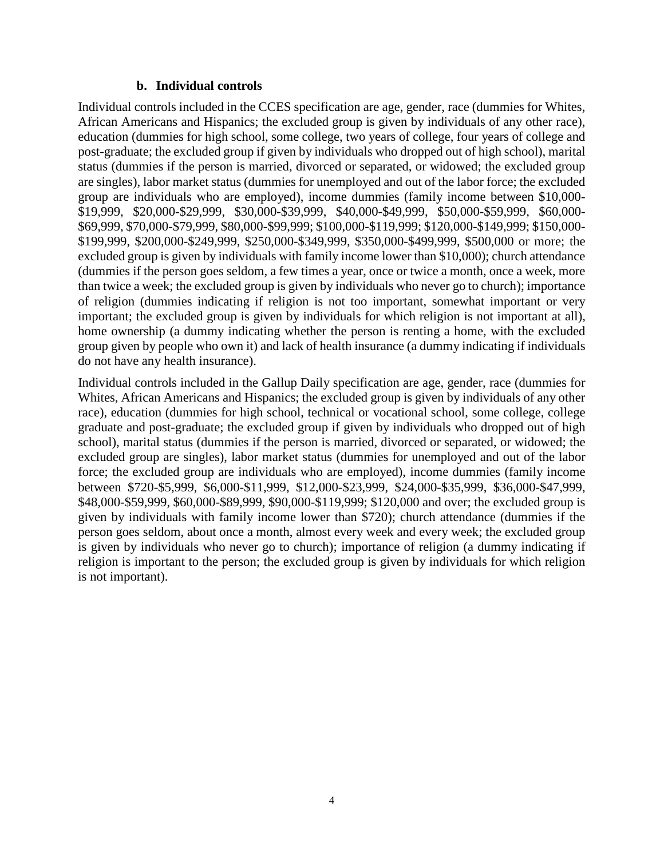## **b. Individual controls**

Individual controls included in the CCES specification are age, gender, race (dummies for Whites, African Americans and Hispanics; the excluded group is given by individuals of any other race), education (dummies for high school, some college, two years of college, four years of college and post-graduate; the excluded group if given by individuals who dropped out of high school), marital status (dummies if the person is married, divorced or separated, or widowed; the excluded group are singles), labor market status (dummies for unemployed and out of the labor force; the excluded group are individuals who are employed), income dummies (family income between \$10,000- \$19,999, \$20,000-\$29,999, \$30,000-\$39,999, \$40,000-\$49,999, \$50,000-\$59,999, \$60,000- \$69,999, \$70,000-\$79,999, \$80,000-\$99,999; \$100,000-\$119,999; \$120,000-\$149,999; \$150,000- \$199,999, \$200,000-\$249,999, \$250,000-\$349,999, \$350,000-\$499,999, \$500,000 or more; the excluded group is given by individuals with family income lower than \$10,000); church attendance (dummies if the person goes seldom, a few times a year, once or twice a month, once a week, more than twice a week; the excluded group is given by individuals who never go to church); importance of religion (dummies indicating if religion is not too important, somewhat important or very important; the excluded group is given by individuals for which religion is not important at all), home ownership (a dummy indicating whether the person is renting a home, with the excluded group given by people who own it) and lack of health insurance (a dummy indicating if individuals do not have any health insurance).

Individual controls included in the Gallup Daily specification are age, gender, race (dummies for Whites, African Americans and Hispanics; the excluded group is given by individuals of any other race), education (dummies for high school, technical or vocational school, some college, college graduate and post-graduate; the excluded group if given by individuals who dropped out of high school), marital status (dummies if the person is married, divorced or separated, or widowed; the excluded group are singles), labor market status (dummies for unemployed and out of the labor force; the excluded group are individuals who are employed), income dummies (family income between \$720-\$5,999, \$6,000-\$11,999, \$12,000-\$23,999, \$24,000-\$35,999, \$36,000-\$47,999, \$48,000-\$59,999, \$60,000-\$89,999, \$90,000-\$119,999; \$120,000 and over; the excluded group is given by individuals with family income lower than \$720); church attendance (dummies if the person goes seldom, about once a month, almost every week and every week; the excluded group is given by individuals who never go to church); importance of religion (a dummy indicating if religion is important to the person; the excluded group is given by individuals for which religion is not important).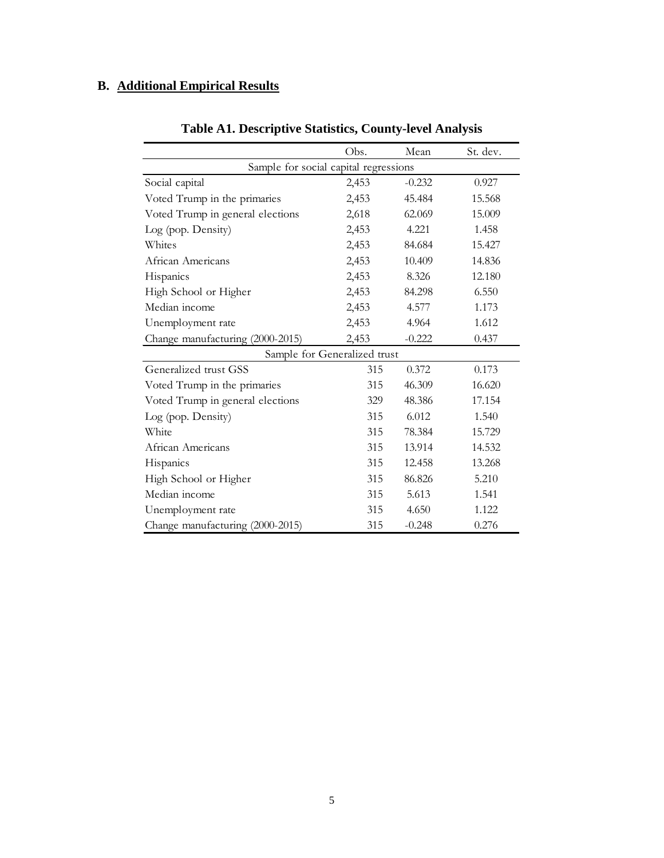## **B. Additional Empirical Results**

|                                       | Obs.                         | Mean     | St. dev. |
|---------------------------------------|------------------------------|----------|----------|
| Sample for social capital regressions |                              |          |          |
| Social capital                        | 2,453                        | $-0.232$ | 0.927    |
| Voted Trump in the primaries          | 2,453                        | 45.484   | 15.568   |
| Voted Trump in general elections      | 2,618                        | 62.069   | 15.009   |
| Log (pop. Density)                    | 2,453                        | 4.221    | 1.458    |
| Whites                                | 2,453                        | 84.684   | 15.427   |
| African Americans                     | 2,453                        | 10.409   | 14.836   |
| Hispanics                             | 2,453                        | 8.326    | 12.180   |
| High School or Higher                 | 2,453                        | 84.298   | 6.550    |
| Median income                         | 2,453                        | 4.577    | 1.173    |
| Unemployment rate                     | 2,453                        | 4.964    | 1.612    |
| Change manufacturing (2000-2015)      | 2,453                        | $-0.222$ | 0.437    |
|                                       | Sample for Generalized trust |          |          |
| Generalized trust GSS                 | 315                          | 0.372    | 0.173    |
| Voted Trump in the primaries          | 315                          | 46.309   | 16.620   |
| Voted Trump in general elections      | 329                          | 48.386   | 17.154   |
| Log (pop. Density)                    | 315                          | 6.012    | 1.540    |
| White                                 | 315                          | 78.384   | 15.729   |
| African Americans                     | 315                          | 13.914   | 14.532   |
| Hispanics                             | 315                          | 12.458   | 13.268   |
| High School or Higher                 | 315                          | 86.826   | 5.210    |
| Median income                         | 315                          | 5.613    | 1.541    |
| Unemployment rate                     | 315                          | 4.650    | 1.122    |
| Change manufacturing (2000-2015)      | 315                          | $-0.248$ | 0.276    |

## **Table A1. Descriptive Statistics, County-level Analysis**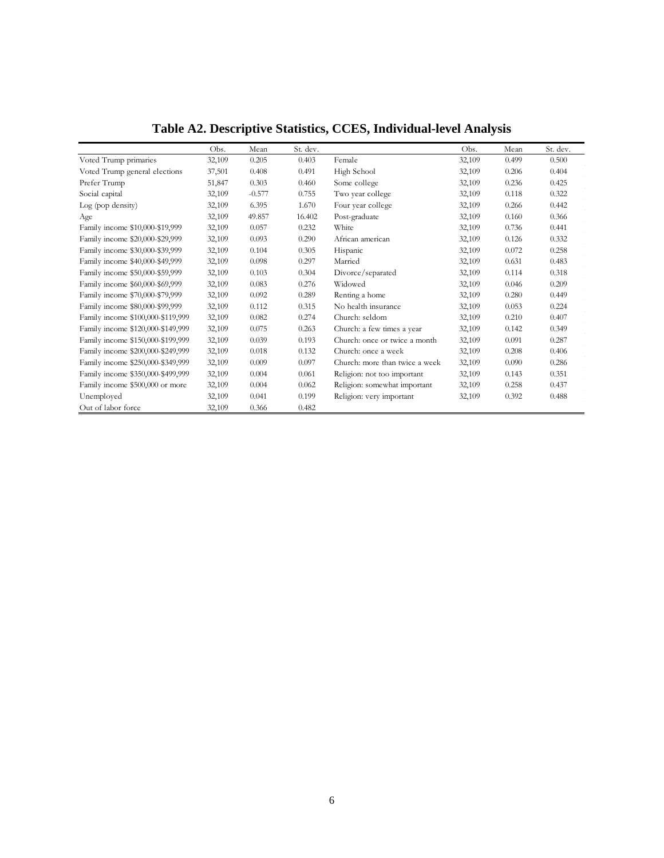|                                   | Obs.   | Mean     | St. dev. |                                | Obs.   | Mean  | St. dev. |
|-----------------------------------|--------|----------|----------|--------------------------------|--------|-------|----------|
| Voted Trump primaries             | 32,109 | 0.205    | 0.403    | Female                         | 32,109 | 0.499 | 0.500    |
| Voted Trump general elections     | 37,501 | 0.408    | 0.491    | High School                    | 32,109 | 0.206 | 0.404    |
| Prefer Trump                      | 51,847 | 0.303    | 0.460    | Some college                   | 32,109 | 0.236 | 0.425    |
| Social capital                    | 32,109 | $-0.577$ | 0.755    | Two year college               | 32,109 | 0.118 | 0.322    |
| Log (pop density)                 | 32,109 | 6.395    | 1.670    | Four year college              | 32,109 | 0.266 | 0.442    |
| Age                               | 32,109 | 49.857   | 16.402   | Post-graduate                  | 32,109 | 0.160 | 0.366    |
| Family income \$10,000-\$19,999   | 32,109 | 0.057    | 0.232    | White                          | 32,109 | 0.736 | 0.441    |
| Family income \$20,000-\$29,999   | 32,109 | 0.093    | 0.290    | African american               | 32,109 | 0.126 | 0.332    |
| Family income \$30,000-\$39,999   | 32,109 | 0.104    | 0.305    | Hispanic                       | 32,109 | 0.072 | 0.258    |
| Family income \$40,000-\$49,999   | 32,109 | 0.098    | 0.297    | Married                        | 32,109 | 0.631 | 0.483    |
| Family income \$50,000-\$59,999   | 32,109 | 0.103    | 0.304    | Divorce/separated              | 32,109 | 0.114 | 0.318    |
| Family income \$60,000-\$69,999   | 32,109 | 0.083    | 0.276    | Widowed                        | 32,109 | 0.046 | 0.209    |
| Family income \$70,000-\$79,999   | 32,109 | 0.092    | 0.289    | Renting a home                 | 32,109 | 0.280 | 0.449    |
| Family income \$80,000-\$99,999   | 32,109 | 0.112    | 0.315    | No health insurance            | 32,109 | 0.053 | 0.224    |
| Family income \$100,000-\$119,999 | 32,109 | 0.082    | 0.274    | Church: seldom                 | 32,109 | 0.210 | 0.407    |
| Family income \$120,000-\$149,999 | 32,109 | 0.075    | 0.263    | Church: a few times a year     | 32,109 | 0.142 | 0.349    |
| Family income \$150,000-\$199,999 | 32,109 | 0.039    | 0.193    | Church: once or twice a month  | 32,109 | 0.091 | 0.287    |
| Family income \$200,000-\$249,999 | 32,109 | 0.018    | 0.132    | Church: once a week            | 32,109 | 0.208 | 0.406    |
| Family income \$250,000-\$349,999 | 32,109 | 0.009    | 0.097    | Church: more than twice a week | 32,109 | 0.090 | 0.286    |
| Family income \$350,000-\$499,999 | 32,109 | 0.004    | 0.061    | Religion: not too important    | 32,109 | 0.143 | 0.351    |
| Family income \$500,000 or more   | 32,109 | 0.004    | 0.062    | Religion: somewhat important   | 32,109 | 0.258 | 0.437    |
| Unemployed                        | 32,109 | 0.041    | 0.199    | Religion: very important       | 32,109 | 0.392 | 0.488    |
| Out of labor force                | 32,109 | 0.366    | 0.482    |                                |        |       |          |

**Table A2. Descriptive Statistics, CCES, Individual-level Analysis**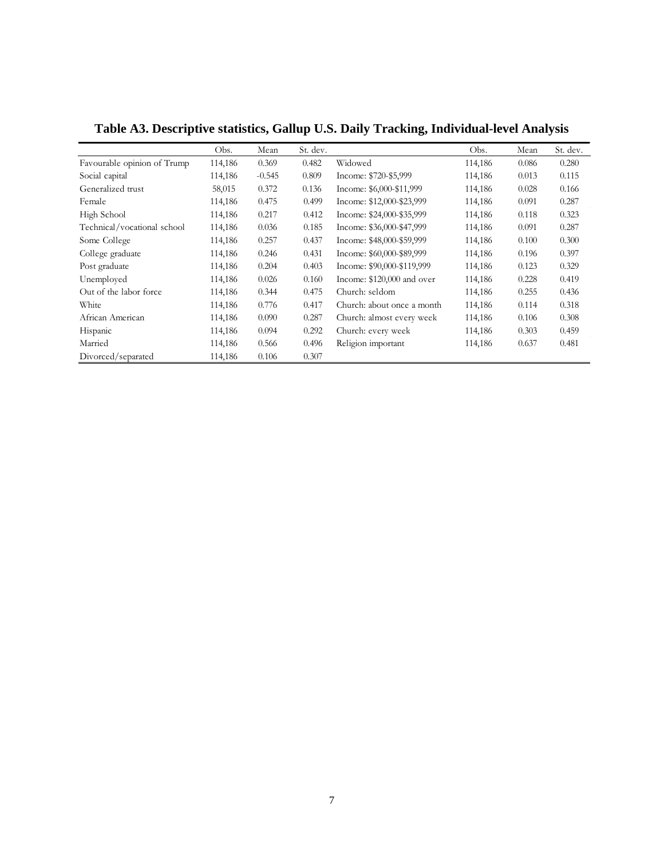|                             | Obs.    | Mean     | St. dev. |                            | Obs.    | Mean  | St. dev. |
|-----------------------------|---------|----------|----------|----------------------------|---------|-------|----------|
| Favourable opinion of Trump | 114,186 | 0.369    | 0.482    | Widowed                    | 114,186 | 0.086 | 0.280    |
| Social capital              | 114,186 | $-0.545$ | 0.809    | Income: \$720-\$5,999      | 114,186 | 0.013 | 0.115    |
| Generalized trust           | 58,015  | 0.372    | 0.136    | Income: \$6,000-\$11,999   | 114,186 | 0.028 | 0.166    |
| Female                      | 114,186 | 0.475    | 0.499    | Income: \$12,000-\$23,999  | 114,186 | 0.091 | 0.287    |
| High School                 | 114,186 | 0.217    | 0.412    | Income: \$24,000-\$35,999  | 114,186 | 0.118 | 0.323    |
| Technical/vocational school | 114,186 | 0.036    | 0.185    | Income: \$36,000-\$47,999  | 114,186 | 0.091 | 0.287    |
| Some College                | 114,186 | 0.257    | 0.437    | Income: \$48,000-\$59,999  | 114,186 | 0.100 | 0.300    |
| College graduate            | 114,186 | 0.246    | 0.431    | Income: \$60,000-\$89,999  | 114,186 | 0.196 | 0.397    |
| Post graduate               | 114,186 | 0.204    | 0.403    | Income: \$90,000-\$119,999 | 114,186 | 0.123 | 0.329    |
| Unemployed                  | 114,186 | 0.026    | 0.160    | Income: \$120,000 and over | 114,186 | 0.228 | 0.419    |
| Out of the labor force      | 114,186 | 0.344    | 0.475    | Church: seldom             | 114,186 | 0.255 | 0.436    |
| White                       | 114,186 | 0.776    | 0.417    | Church: about once a month | 114,186 | 0.114 | 0.318    |
| African American            | 114,186 | 0.090    | 0.287    | Church: almost every week  | 114,186 | 0.106 | 0.308    |
| Hispanic                    | 114,186 | 0.094    | 0.292    | Church: every week         | 114,186 | 0.303 | 0.459    |
| Married                     | 114,186 | 0.566    | 0.496    | Religion important         | 114,186 | 0.637 | 0.481    |
| Divorced/separated          | 114,186 | 0.106    | 0.307    |                            |         |       |          |

**Table A3. Descriptive statistics, Gallup U.S. Daily Tracking, Individual-level Analysis**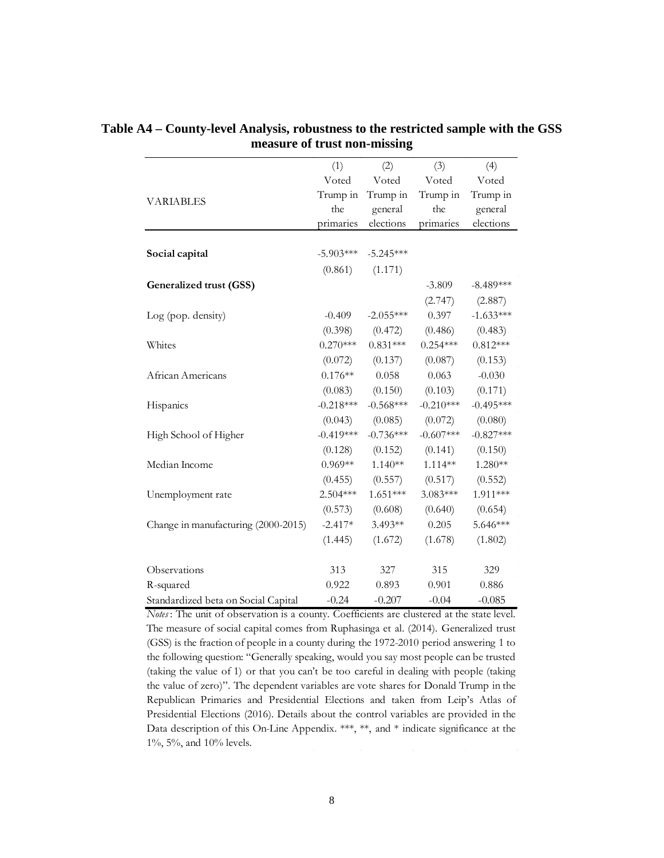|                                     | (1)         | (2)         | (3)         | (4)         |
|-------------------------------------|-------------|-------------|-------------|-------------|
|                                     | Voted       | Voted       | Voted       | Voted       |
| <b>VARIABLES</b>                    | Trump in    | Trump in    | Trump in    | Trump in    |
|                                     | the         | general     | the         | general     |
|                                     | primaries   | elections   | primaries   | elections   |
|                                     |             |             |             |             |
| Social capital                      | $-5.903***$ | $-5.245***$ |             |             |
|                                     | (0.861)     | (1.171)     |             |             |
| Generalized trust (GSS)             |             |             | $-3.809$    | $-8.489***$ |
|                                     |             |             | (2.747)     | (2.887)     |
| Log (pop. density)                  | $-0.409$    | $-2.055***$ | 0.397       | $-1.633***$ |
|                                     | (0.398)     | (0.472)     | (0.486)     | (0.483)     |
| Whites                              | $0.270***$  | $0.831***$  | $0.254***$  | $0.812***$  |
|                                     | (0.072)     | (0.137)     | (0.087)     | (0.153)     |
| African Americans                   | $0.176**$   | 0.058       | 0.063       | $-0.030$    |
|                                     | (0.083)     | (0.150)     | (0.103)     | (0.171)     |
| Hispanics                           | $-0.218***$ | $-0.568***$ | $-0.210***$ | $-0.495***$ |
|                                     | (0.043)     | (0.085)     | (0.072)     | (0.080)     |
| High School of Higher               | $-0.419***$ | $-0.736***$ | $-0.607***$ | $-0.827***$ |
|                                     | (0.128)     | (0.152)     | (0.141)     | (0.150)     |
| Median Income                       | $0.969**$   | $1.140**$   | $1.114**$   | 1.280**     |
|                                     | (0.455)     | (0.557)     | (0.517)     | (0.552)     |
| Unemployment rate                   | 2.504***    | $1.651***$  | 3.083***    | 1.911***    |
|                                     | (0.573)     | (0.608)     | (0.640)     | (0.654)     |
| Change in manufacturing (2000-2015) | $-2.417*$   | 3.493**     | 0.205       | 5.646***    |
|                                     | (1.445)     | (1.672)     | (1.678)     | (1.802)     |
| Observations                        | 313         | 327         | 315         | 329         |
| R-squared                           | 0.922       | 0.893       | 0.901       | 0.886       |
| Standardized beta on Social Capital | $-0.24$     | $-0.207$    | $-0.04$     | $-0.085$    |

**Table A4 – County-level Analysis, robustness to the restricted sample with the GSS measure of trust non-missing**

*Notes* : The unit of observation is a county. Coefficients are clustered at the state level. The measure of social capital comes from Ruphasinga et al. (2014). Generalized trust (GSS) is the fraction of people in a county during the 1972-2010 period answering 1 to the following question: "Generally speaking, would you say most people can be trusted (taking the value of 1) or that you can't be too careful in dealing with people (taking the value of zero)". The dependent variables are vote shares for Donald Trump in the Republican Primaries and Presidential Elections and taken from Leip's Atlas of Presidential Elections (2016). Details about the control variables are provided in the Data description of this On-Line Appendix. \*\*\*, \*\*, and \* indicate significance at the 1%, 5%, and 10% levels.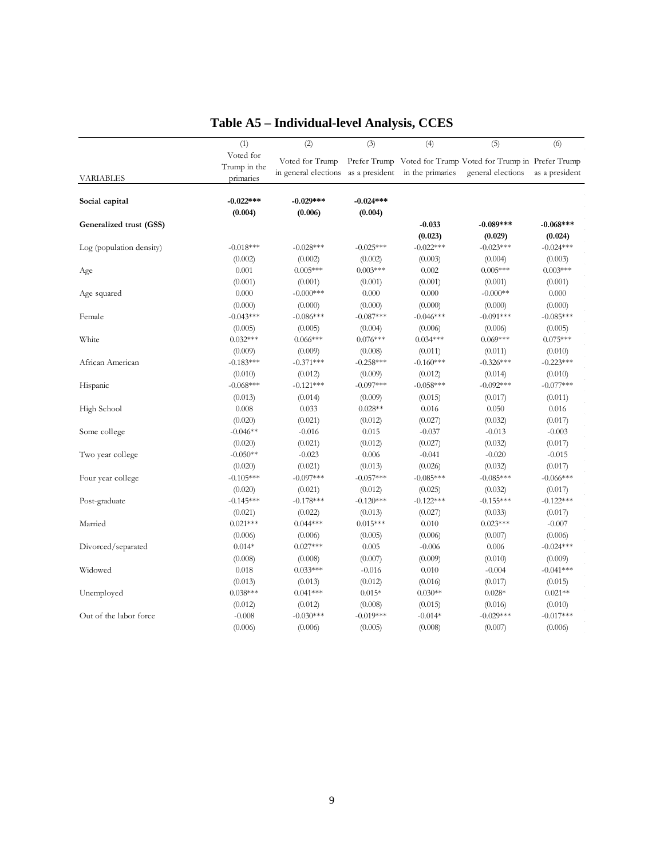|                          | (1)                                    | (2)                                                    | (3)                   | (4)              | (5)                                                                               | (6)                   |
|--------------------------|----------------------------------------|--------------------------------------------------------|-----------------------|------------------|-----------------------------------------------------------------------------------|-----------------------|
| <b>VARIABLES</b>         | Voted for<br>Trump in the<br>primaries | Voted for Trump<br>in general elections as a president |                       | in the primaries | Prefer Trump Voted for Trump Voted for Trump in Prefer Trump<br>general elections | as a president        |
| Social capital           | $-0.022***$                            | $-0.029***$                                            | $-0.024***$           |                  |                                                                                   |                       |
|                          | (0.004)                                | (0.006)                                                | (0.004)               |                  |                                                                                   |                       |
| Generalized trust (GSS)  |                                        |                                                        |                       | $-0.033$         | $-0.089***$                                                                       | $-0.068***$           |
|                          |                                        |                                                        |                       | (0.023)          | (0.029)                                                                           | (0.024)               |
| Log (population density) | $-0.018***$                            | $-0.028***$                                            | $-0.025***$           | $-0.022***$      | $-0.023***$                                                                       | $-0.024***$           |
|                          | (0.002)<br>0.001                       | (0.002)<br>$0.005***$                                  | (0.002)<br>$0.003***$ | (0.003)<br>0.002 | (0.004)<br>$0.005***$                                                             | (0.003)<br>$0.003***$ |
| Age                      |                                        |                                                        |                       |                  |                                                                                   |                       |
|                          | (0.001)<br>0.000                       | (0.001)<br>$-0.000***$                                 | (0.001)               | (0.001)<br>0.000 | (0.001)<br>$-0.000**$                                                             | (0.001)<br>$0.000\,$  |
| Age squared              |                                        |                                                        | 0.000                 |                  |                                                                                   |                       |
|                          | (0.000)                                | (0.000)                                                | (0.000)               | (0.000)          | (0.000)<br>$-0.091***$                                                            | (0.000)               |
| Female                   | $-0.043***$                            | $-0.086***$                                            | $-0.087***$           | $-0.046***$      |                                                                                   | $-0.085***$           |
|                          | (0.005)                                | (0.005)                                                | (0.004)               | (0.006)          | (0.006)                                                                           | (0.005)               |
| White                    | $0.032***$                             | $0.066***$                                             | $0.076***$            | $0.034***$       | $0.069***$                                                                        | $0.075***$            |
|                          | (0.009)                                | (0.009)                                                | (0.008)               | (0.011)          | (0.011)                                                                           | (0.010)               |
| African American         | $-0.183***$                            | $-0.371***$                                            | $-0.258***$           | $-0.160***$      | $-0.326***$                                                                       | $-0.223***$           |
|                          | (0.010)                                | (0.012)                                                | (0.009)               | (0.012)          | (0.014)                                                                           | (0.010)               |
| Hispanic                 | $-0.068***$                            | $-0.121***$                                            | $-0.097***$           | $-0.058***$      | $-0.092***$                                                                       | $-0.077***$           |
|                          | (0.013)                                | (0.014)                                                | (0.009)               | (0.015)          | (0.017)                                                                           | (0.011)               |
| High School              | 0.008                                  | 0.033                                                  | $0.028**$             | 0.016            | 0.050                                                                             | 0.016                 |
|                          | (0.020)                                | (0.021)                                                | (0.012)               | (0.027)          | (0.032)                                                                           | (0.017)               |
| Some college             | $-0.046**$                             | $-0.016$                                               | 0.015                 | $-0.037$         | $-0.013$                                                                          | $-0.003$              |
|                          | (0.020)                                | (0.021)                                                | (0.012)               | (0.027)          | (0.032)                                                                           | (0.017)               |
| Two year college         | $-0.050**$                             | $-0.023$                                               | 0.006                 | $-0.041$         | $-0.020$                                                                          | $-0.015$              |
|                          | (0.020)                                | (0.021)                                                | (0.013)               | (0.026)          | (0.032)                                                                           | (0.017)               |
| Four year college        | $-0.105***$                            | $-0.097***$                                            | $-0.057***$           | $-0.085***$      | $-0.085***$                                                                       | $-0.066***$           |
|                          | (0.020)                                | (0.021)                                                | (0.012)               | (0.025)          | (0.032)                                                                           | (0.017)               |
| Post-graduate            | $-0.145***$                            | $-0.178***$                                            | $-0.120***$           | $-0.122***$      | $-0.155***$                                                                       | $-0.122***$           |
|                          | (0.021)                                | (0.022)                                                | (0.013)               | (0.027)          | (0.033)                                                                           | (0.017)               |
| Married                  | $0.021***$                             | $0.044***$                                             | $0.015***$            | 0.010            | $0.023***$                                                                        | $-0.007$              |
|                          | (0.006)                                | (0.006)                                                | (0.005)               | (0.006)          | (0.007)                                                                           | (0.006)               |
| Divorced/separated       | $0.014*$                               | $0.027***$                                             | 0.005                 | $-0.006$         | 0.006                                                                             | $-0.024***$           |
|                          | (0.008)                                | (0.008)                                                | (0.007)               | (0.009)          | (0.010)                                                                           | (0.009)               |
| Widowed                  | 0.018                                  | $0.033***$                                             | $-0.016$              | 0.010            | $-0.004$                                                                          | $-0.041***$           |
|                          | (0.013)                                | (0.013)                                                | (0.012)               | (0.016)          | (0.017)                                                                           | (0.015)               |
| Unemployed               | $0.038***$                             | $0.041***$                                             | $0.015*$              | $0.030**$        | $0.028*$                                                                          | $0.021**$             |
|                          | (0.012)                                | (0.012)                                                | (0.008)               | (0.015)          | (0.016)                                                                           | (0.010)               |
| Out of the labor force   | $-0.008$                               | $-0.030***$                                            | $-0.019***$           | $-0.014*$        | $-0.029***$                                                                       | $-0.017***$           |
|                          | (0.006)                                | (0.006)                                                | (0.005)               | (0.008)          | (0.007)                                                                           | (0.006)               |

## **Table A5 – Individual-level Analysis, CCES**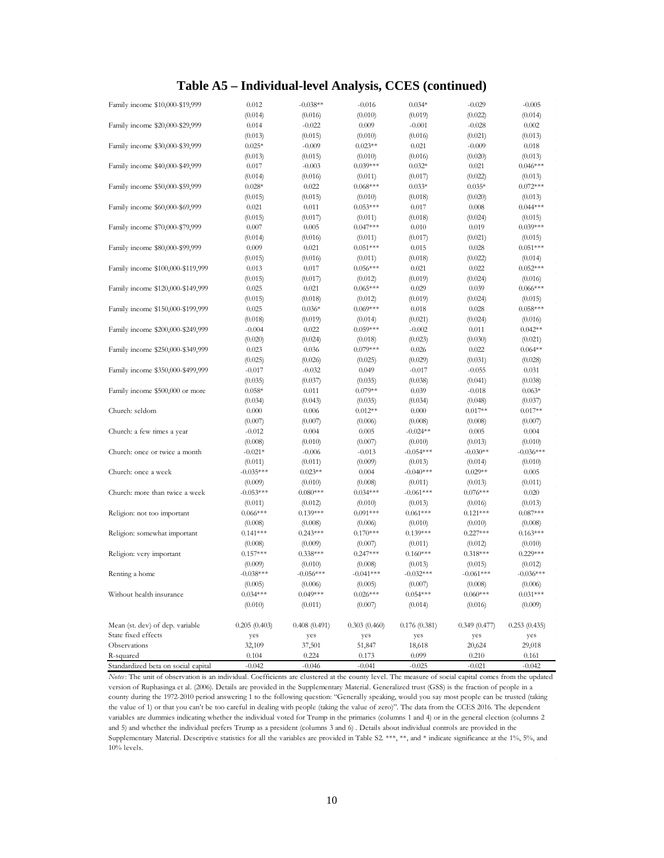## **Table A5 – Individual-level Analysis, CCES (continued)**

| (0.014)<br>(0.010)<br>(0.019)<br>(0.022)<br>(0.014)<br>(0.016)<br>Family income \$20,000-\$29,999<br>0.014<br>$-0.022$<br>0.009<br>$-0.001$<br>$-0.028$<br>0.002<br>(0.013)<br>(0.015)<br>(0.010)<br>(0.016)<br>(0.021)<br>(0.013)<br>Family income \$30,000-\$39,999<br>$0.025*$<br>$-0.009$<br>$0.023**$<br>0.021<br>$-0.009$<br>0.018<br>(0.016)<br>(0.013)<br>(0.015)<br>(0.010)<br>(0.020)<br>(0.013)<br>Family income \$40,000-\$49,999<br>$-0.003$<br>$0.039***$<br>$0.032*$<br>0.021<br>$0.046***$<br>0.017<br>(0.022)<br>(0.014)<br>(0.016)<br>(0.011)<br>(0.017)<br>(0.013)<br>$0.035*$<br>Family income \$50,000-\$59,999<br>$0.028*$<br>0.022<br>$0.068***$<br>$0.033*$<br>$0.072***$<br>(0.015)<br>(0.010)<br>(0.018)<br>(0.020)<br>(0.015)<br>(0.013)<br>0.008<br>Family income \$60,000-\$69,999<br>0.021<br>0.011<br>$0.053***$<br>0.017<br>$0.044***$<br>(0.017)<br>(0.015)<br>(0.011)<br>(0.018)<br>(0.024)<br>(0.015)<br>Family income \$70,000-\$79,999<br>0.007<br>0.005<br>$0.047***$<br>0.010<br>0.019<br>$0.039***$<br>(0.014)<br>(0.016)<br>(0.017)<br>(0.021)<br>(0.011)<br>(0.015)<br>Family income \$80,000-\$99,999<br>0.009<br>0.021<br>$0.051***$<br>0.015<br>0.028<br>$0.051***$<br>(0.015)<br>(0.016)<br>(0.011)<br>(0.018)<br>(0.022)<br>(0.014)<br>Family income \$100,000-\$119,999<br>0.017<br>$0.056***$<br>0.021<br>0.022<br>$0.052***$<br>0.013<br>(0.015)<br>(0.017)<br>(0.019)<br>(0.024)<br>(0.016)<br>(0.012)<br>Family income \$120,000-\$149,999<br>$0.065***$<br>0.039<br>$0.066***$<br>0.025<br>0.021<br>0.029<br>(0.015)<br>(0.018)<br>(0.012)<br>(0.019)<br>(0.024)<br>(0.015)<br>Family income \$150,000-\$199,999<br>0.025<br>$0.036*$<br>$0.069***$<br>0.018<br>0.028<br>$0.058***$<br>(0.024)<br>(0.018)<br>(0.019)<br>(0.014)<br>(0.021)<br>(0.016)<br>Family income \$200,000-\$249,999<br>$-0.004$<br>0.022<br>$0.059***$<br>$-0.002$<br>0.011<br>$0.042**$ | Family income \$10,000-\$19,999 | 0.012   | $-0.038**$ | $-0.016$ | $0.034*$ | $-0.029$ | $-0.005$ |
|----------------------------------------------------------------------------------------------------------------------------------------------------------------------------------------------------------------------------------------------------------------------------------------------------------------------------------------------------------------------------------------------------------------------------------------------------------------------------------------------------------------------------------------------------------------------------------------------------------------------------------------------------------------------------------------------------------------------------------------------------------------------------------------------------------------------------------------------------------------------------------------------------------------------------------------------------------------------------------------------------------------------------------------------------------------------------------------------------------------------------------------------------------------------------------------------------------------------------------------------------------------------------------------------------------------------------------------------------------------------------------------------------------------------------------------------------------------------------------------------------------------------------------------------------------------------------------------------------------------------------------------------------------------------------------------------------------------------------------------------------------------------------------------------------------------------------------------------------------------------------------------------------------------------|---------------------------------|---------|------------|----------|----------|----------|----------|
|                                                                                                                                                                                                                                                                                                                                                                                                                                                                                                                                                                                                                                                                                                                                                                                                                                                                                                                                                                                                                                                                                                                                                                                                                                                                                                                                                                                                                                                                                                                                                                                                                                                                                                                                                                                                                                                                                                                      |                                 |         |            |          |          |          |          |
|                                                                                                                                                                                                                                                                                                                                                                                                                                                                                                                                                                                                                                                                                                                                                                                                                                                                                                                                                                                                                                                                                                                                                                                                                                                                                                                                                                                                                                                                                                                                                                                                                                                                                                                                                                                                                                                                                                                      |                                 |         |            |          |          |          |          |
|                                                                                                                                                                                                                                                                                                                                                                                                                                                                                                                                                                                                                                                                                                                                                                                                                                                                                                                                                                                                                                                                                                                                                                                                                                                                                                                                                                                                                                                                                                                                                                                                                                                                                                                                                                                                                                                                                                                      |                                 |         |            |          |          |          |          |
|                                                                                                                                                                                                                                                                                                                                                                                                                                                                                                                                                                                                                                                                                                                                                                                                                                                                                                                                                                                                                                                                                                                                                                                                                                                                                                                                                                                                                                                                                                                                                                                                                                                                                                                                                                                                                                                                                                                      |                                 |         |            |          |          |          |          |
|                                                                                                                                                                                                                                                                                                                                                                                                                                                                                                                                                                                                                                                                                                                                                                                                                                                                                                                                                                                                                                                                                                                                                                                                                                                                                                                                                                                                                                                                                                                                                                                                                                                                                                                                                                                                                                                                                                                      |                                 |         |            |          |          |          |          |
|                                                                                                                                                                                                                                                                                                                                                                                                                                                                                                                                                                                                                                                                                                                                                                                                                                                                                                                                                                                                                                                                                                                                                                                                                                                                                                                                                                                                                                                                                                                                                                                                                                                                                                                                                                                                                                                                                                                      |                                 |         |            |          |          |          |          |
|                                                                                                                                                                                                                                                                                                                                                                                                                                                                                                                                                                                                                                                                                                                                                                                                                                                                                                                                                                                                                                                                                                                                                                                                                                                                                                                                                                                                                                                                                                                                                                                                                                                                                                                                                                                                                                                                                                                      |                                 |         |            |          |          |          |          |
|                                                                                                                                                                                                                                                                                                                                                                                                                                                                                                                                                                                                                                                                                                                                                                                                                                                                                                                                                                                                                                                                                                                                                                                                                                                                                                                                                                                                                                                                                                                                                                                                                                                                                                                                                                                                                                                                                                                      |                                 |         |            |          |          |          |          |
|                                                                                                                                                                                                                                                                                                                                                                                                                                                                                                                                                                                                                                                                                                                                                                                                                                                                                                                                                                                                                                                                                                                                                                                                                                                                                                                                                                                                                                                                                                                                                                                                                                                                                                                                                                                                                                                                                                                      |                                 |         |            |          |          |          |          |
|                                                                                                                                                                                                                                                                                                                                                                                                                                                                                                                                                                                                                                                                                                                                                                                                                                                                                                                                                                                                                                                                                                                                                                                                                                                                                                                                                                                                                                                                                                                                                                                                                                                                                                                                                                                                                                                                                                                      |                                 |         |            |          |          |          |          |
|                                                                                                                                                                                                                                                                                                                                                                                                                                                                                                                                                                                                                                                                                                                                                                                                                                                                                                                                                                                                                                                                                                                                                                                                                                                                                                                                                                                                                                                                                                                                                                                                                                                                                                                                                                                                                                                                                                                      |                                 |         |            |          |          |          |          |
|                                                                                                                                                                                                                                                                                                                                                                                                                                                                                                                                                                                                                                                                                                                                                                                                                                                                                                                                                                                                                                                                                                                                                                                                                                                                                                                                                                                                                                                                                                                                                                                                                                                                                                                                                                                                                                                                                                                      |                                 |         |            |          |          |          |          |
|                                                                                                                                                                                                                                                                                                                                                                                                                                                                                                                                                                                                                                                                                                                                                                                                                                                                                                                                                                                                                                                                                                                                                                                                                                                                                                                                                                                                                                                                                                                                                                                                                                                                                                                                                                                                                                                                                                                      |                                 |         |            |          |          |          |          |
|                                                                                                                                                                                                                                                                                                                                                                                                                                                                                                                                                                                                                                                                                                                                                                                                                                                                                                                                                                                                                                                                                                                                                                                                                                                                                                                                                                                                                                                                                                                                                                                                                                                                                                                                                                                                                                                                                                                      |                                 |         |            |          |          |          |          |
|                                                                                                                                                                                                                                                                                                                                                                                                                                                                                                                                                                                                                                                                                                                                                                                                                                                                                                                                                                                                                                                                                                                                                                                                                                                                                                                                                                                                                                                                                                                                                                                                                                                                                                                                                                                                                                                                                                                      |                                 |         |            |          |          |          |          |
|                                                                                                                                                                                                                                                                                                                                                                                                                                                                                                                                                                                                                                                                                                                                                                                                                                                                                                                                                                                                                                                                                                                                                                                                                                                                                                                                                                                                                                                                                                                                                                                                                                                                                                                                                                                                                                                                                                                      |                                 |         |            |          |          |          |          |
|                                                                                                                                                                                                                                                                                                                                                                                                                                                                                                                                                                                                                                                                                                                                                                                                                                                                                                                                                                                                                                                                                                                                                                                                                                                                                                                                                                                                                                                                                                                                                                                                                                                                                                                                                                                                                                                                                                                      |                                 |         |            |          |          |          |          |
|                                                                                                                                                                                                                                                                                                                                                                                                                                                                                                                                                                                                                                                                                                                                                                                                                                                                                                                                                                                                                                                                                                                                                                                                                                                                                                                                                                                                                                                                                                                                                                                                                                                                                                                                                                                                                                                                                                                      |                                 |         |            |          |          |          |          |
|                                                                                                                                                                                                                                                                                                                                                                                                                                                                                                                                                                                                                                                                                                                                                                                                                                                                                                                                                                                                                                                                                                                                                                                                                                                                                                                                                                                                                                                                                                                                                                                                                                                                                                                                                                                                                                                                                                                      |                                 |         |            |          |          |          |          |
|                                                                                                                                                                                                                                                                                                                                                                                                                                                                                                                                                                                                                                                                                                                                                                                                                                                                                                                                                                                                                                                                                                                                                                                                                                                                                                                                                                                                                                                                                                                                                                                                                                                                                                                                                                                                                                                                                                                      |                                 |         |            |          |          |          |          |
|                                                                                                                                                                                                                                                                                                                                                                                                                                                                                                                                                                                                                                                                                                                                                                                                                                                                                                                                                                                                                                                                                                                                                                                                                                                                                                                                                                                                                                                                                                                                                                                                                                                                                                                                                                                                                                                                                                                      |                                 |         |            |          |          |          |          |
|                                                                                                                                                                                                                                                                                                                                                                                                                                                                                                                                                                                                                                                                                                                                                                                                                                                                                                                                                                                                                                                                                                                                                                                                                                                                                                                                                                                                                                                                                                                                                                                                                                                                                                                                                                                                                                                                                                                      |                                 |         |            |          |          |          |          |
|                                                                                                                                                                                                                                                                                                                                                                                                                                                                                                                                                                                                                                                                                                                                                                                                                                                                                                                                                                                                                                                                                                                                                                                                                                                                                                                                                                                                                                                                                                                                                                                                                                                                                                                                                                                                                                                                                                                      |                                 | (0.020) | (0.024)    | (0.018)  | (0.023)  | (0.030)  | (0.021)  |
| 0.022<br>Family income \$250,000-\$349,999<br>0.023<br>0.036<br>$0.079***$<br>0.026<br>$0.064**$                                                                                                                                                                                                                                                                                                                                                                                                                                                                                                                                                                                                                                                                                                                                                                                                                                                                                                                                                                                                                                                                                                                                                                                                                                                                                                                                                                                                                                                                                                                                                                                                                                                                                                                                                                                                                     |                                 |         |            |          |          |          |          |
| (0.025)<br>(0.026)<br>(0.025)<br>(0.029)<br>(0.031)<br>(0.028)                                                                                                                                                                                                                                                                                                                                                                                                                                                                                                                                                                                                                                                                                                                                                                                                                                                                                                                                                                                                                                                                                                                                                                                                                                                                                                                                                                                                                                                                                                                                                                                                                                                                                                                                                                                                                                                       |                                 |         |            |          |          |          |          |
| Family income \$350,000-\$499,999<br>$-0.017$<br>$-0.032$<br>0.049<br>$-0.017$<br>$-0.055$<br>0.031                                                                                                                                                                                                                                                                                                                                                                                                                                                                                                                                                                                                                                                                                                                                                                                                                                                                                                                                                                                                                                                                                                                                                                                                                                                                                                                                                                                                                                                                                                                                                                                                                                                                                                                                                                                                                  |                                 |         |            |          |          |          |          |
| (0.035)<br>(0.037)<br>(0.038)<br>(0.041)<br>(0.038)<br>(0.035)                                                                                                                                                                                                                                                                                                                                                                                                                                                                                                                                                                                                                                                                                                                                                                                                                                                                                                                                                                                                                                                                                                                                                                                                                                                                                                                                                                                                                                                                                                                                                                                                                                                                                                                                                                                                                                                       |                                 |         |            |          |          |          |          |
| $0.058*$<br>0.011<br>$0.079**$<br>0.039<br>$-0.018$<br>$0.063*$<br>Family income \$500,000 or more                                                                                                                                                                                                                                                                                                                                                                                                                                                                                                                                                                                                                                                                                                                                                                                                                                                                                                                                                                                                                                                                                                                                                                                                                                                                                                                                                                                                                                                                                                                                                                                                                                                                                                                                                                                                                   |                                 |         |            |          |          |          |          |
| (0.048)<br>(0.034)<br>(0.043)<br>(0.035)<br>(0.034)<br>(0.037)                                                                                                                                                                                                                                                                                                                                                                                                                                                                                                                                                                                                                                                                                                                                                                                                                                                                                                                                                                                                                                                                                                                                                                                                                                                                                                                                                                                                                                                                                                                                                                                                                                                                                                                                                                                                                                                       |                                 |         |            |          |          |          |          |
| Church: seldom<br>$0.012**$<br>0.000<br>$0.017**$<br>$0.017**$<br>0.000<br>0.006                                                                                                                                                                                                                                                                                                                                                                                                                                                                                                                                                                                                                                                                                                                                                                                                                                                                                                                                                                                                                                                                                                                                                                                                                                                                                                                                                                                                                                                                                                                                                                                                                                                                                                                                                                                                                                     |                                 |         |            |          |          |          |          |
| (0.007)<br>(0.007)<br>(0.006)<br>(0.008)<br>(0.008)<br>(0.007)                                                                                                                                                                                                                                                                                                                                                                                                                                                                                                                                                                                                                                                                                                                                                                                                                                                                                                                                                                                                                                                                                                                                                                                                                                                                                                                                                                                                                                                                                                                                                                                                                                                                                                                                                                                                                                                       |                                 |         |            |          |          |          |          |
| Church: a few times a year<br>0.005<br>$-0.024**$<br>0.005<br>0.004<br>$-0.012$<br>0.004                                                                                                                                                                                                                                                                                                                                                                                                                                                                                                                                                                                                                                                                                                                                                                                                                                                                                                                                                                                                                                                                                                                                                                                                                                                                                                                                                                                                                                                                                                                                                                                                                                                                                                                                                                                                                             |                                 |         |            |          |          |          |          |
| (0.008)<br>(0.010)<br>(0.007)<br>(0.010)<br>(0.013)<br>(0.010)                                                                                                                                                                                                                                                                                                                                                                                                                                                                                                                                                                                                                                                                                                                                                                                                                                                                                                                                                                                                                                                                                                                                                                                                                                                                                                                                                                                                                                                                                                                                                                                                                                                                                                                                                                                                                                                       |                                 |         |            |          |          |          |          |
| Church: once or twice a month<br>$-0.054***$<br>$-0.030**$<br>$-0.036***$<br>$-0.021*$<br>$-0.006$<br>$-0.013$                                                                                                                                                                                                                                                                                                                                                                                                                                                                                                                                                                                                                                                                                                                                                                                                                                                                                                                                                                                                                                                                                                                                                                                                                                                                                                                                                                                                                                                                                                                                                                                                                                                                                                                                                                                                       |                                 |         |            |          |          |          |          |
| (0.011)<br>(0.011)<br>(0.009)<br>(0.013)<br>(0.014)<br>(0.010)                                                                                                                                                                                                                                                                                                                                                                                                                                                                                                                                                                                                                                                                                                                                                                                                                                                                                                                                                                                                                                                                                                                                                                                                                                                                                                                                                                                                                                                                                                                                                                                                                                                                                                                                                                                                                                                       |                                 |         |            |          |          |          |          |
| $-0.040***$<br>$0.029**$<br>Church: once a week<br>$-0.035***$<br>$0.023**$<br>0.004<br>0.005                                                                                                                                                                                                                                                                                                                                                                                                                                                                                                                                                                                                                                                                                                                                                                                                                                                                                                                                                                                                                                                                                                                                                                                                                                                                                                                                                                                                                                                                                                                                                                                                                                                                                                                                                                                                                        |                                 |         |            |          |          |          |          |
| (0.009)<br>(0.010)<br>(0.008)<br>(0.011)<br>(0.013)<br>(0.011)                                                                                                                                                                                                                                                                                                                                                                                                                                                                                                                                                                                                                                                                                                                                                                                                                                                                                                                                                                                                                                                                                                                                                                                                                                                                                                                                                                                                                                                                                                                                                                                                                                                                                                                                                                                                                                                       |                                 |         |            |          |          |          |          |
| Church: more than twice a week<br>$-0.053***$<br>$0.080***$<br>$0.034***$<br>$-0.061***$<br>$0.076***$<br>0.020                                                                                                                                                                                                                                                                                                                                                                                                                                                                                                                                                                                                                                                                                                                                                                                                                                                                                                                                                                                                                                                                                                                                                                                                                                                                                                                                                                                                                                                                                                                                                                                                                                                                                                                                                                                                      |                                 |         |            |          |          |          |          |
| (0.011)<br>(0.012)<br>(0.010)<br>(0.013)<br>(0.016)<br>(0.013)                                                                                                                                                                                                                                                                                                                                                                                                                                                                                                                                                                                                                                                                                                                                                                                                                                                                                                                                                                                                                                                                                                                                                                                                                                                                                                                                                                                                                                                                                                                                                                                                                                                                                                                                                                                                                                                       |                                 |         |            |          |          |          |          |
| Religion: not too important<br>$0.066***$<br>$0.139***$<br>$0.091***$<br>$0.061***$<br>$0.121***$<br>$0.087***$                                                                                                                                                                                                                                                                                                                                                                                                                                                                                                                                                                                                                                                                                                                                                                                                                                                                                                                                                                                                                                                                                                                                                                                                                                                                                                                                                                                                                                                                                                                                                                                                                                                                                                                                                                                                      |                                 |         |            |          |          |          |          |
| (0.010)<br>(0.008)<br>(0.008)<br>(0.006)<br>(0.010)<br>(0.008)                                                                                                                                                                                                                                                                                                                                                                                                                                                                                                                                                                                                                                                                                                                                                                                                                                                                                                                                                                                                                                                                                                                                                                                                                                                                                                                                                                                                                                                                                                                                                                                                                                                                                                                                                                                                                                                       |                                 |         |            |          |          |          |          |
| $0.139***$<br>$0.227***$<br>$0.141***$<br>$0.243***$<br>$0.170***$<br>$0.163***$<br>Religion: somewhat important                                                                                                                                                                                                                                                                                                                                                                                                                                                                                                                                                                                                                                                                                                                                                                                                                                                                                                                                                                                                                                                                                                                                                                                                                                                                                                                                                                                                                                                                                                                                                                                                                                                                                                                                                                                                     |                                 |         |            |          |          |          |          |
| (0.009)<br>(0.007)<br>(0.011)<br>(0.012)<br>(0.008)<br>(0.010)                                                                                                                                                                                                                                                                                                                                                                                                                                                                                                                                                                                                                                                                                                                                                                                                                                                                                                                                                                                                                                                                                                                                                                                                                                                                                                                                                                                                                                                                                                                                                                                                                                                                                                                                                                                                                                                       |                                 |         |            |          |          |          |          |
| $0.157***$<br>$0.338***$<br>$0.247***$<br>$0.160***$<br>$0.318***$<br>$0.229***$<br>Religion: very important                                                                                                                                                                                                                                                                                                                                                                                                                                                                                                                                                                                                                                                                                                                                                                                                                                                                                                                                                                                                                                                                                                                                                                                                                                                                                                                                                                                                                                                                                                                                                                                                                                                                                                                                                                                                         |                                 |         |            |          |          |          |          |
| (0.009)<br>(0.010)<br>(0.008)<br>(0.013)<br>(0.015)<br>(0.012)                                                                                                                                                                                                                                                                                                                                                                                                                                                                                                                                                                                                                                                                                                                                                                                                                                                                                                                                                                                                                                                                                                                                                                                                                                                                                                                                                                                                                                                                                                                                                                                                                                                                                                                                                                                                                                                       |                                 |         |            |          |          |          |          |
| $-0.032***$<br>$-0.038***$<br>$-0.056***$<br>$-0.041***$<br>$-0.061***$<br>$-0.036***$<br>Renting a home                                                                                                                                                                                                                                                                                                                                                                                                                                                                                                                                                                                                                                                                                                                                                                                                                                                                                                                                                                                                                                                                                                                                                                                                                                                                                                                                                                                                                                                                                                                                                                                                                                                                                                                                                                                                             |                                 |         |            |          |          |          |          |
| (0.005)<br>(0.006)<br>(0.005)<br>(0.007)<br>(0.008)<br>(0.006)                                                                                                                                                                                                                                                                                                                                                                                                                                                                                                                                                                                                                                                                                                                                                                                                                                                                                                                                                                                                                                                                                                                                                                                                                                                                                                                                                                                                                                                                                                                                                                                                                                                                                                                                                                                                                                                       |                                 |         |            |          |          |          |          |
| Without health insurance<br>$0.034***$<br>$0.049***$<br>$0.026***$<br>$0.054***$<br>$0.060***$<br>$0.031***$                                                                                                                                                                                                                                                                                                                                                                                                                                                                                                                                                                                                                                                                                                                                                                                                                                                                                                                                                                                                                                                                                                                                                                                                                                                                                                                                                                                                                                                                                                                                                                                                                                                                                                                                                                                                         |                                 |         |            |          |          |          |          |
| (0.010)<br>(0.011)<br>(0.007)<br>(0.014)<br>(0.016)<br>(0.009)                                                                                                                                                                                                                                                                                                                                                                                                                                                                                                                                                                                                                                                                                                                                                                                                                                                                                                                                                                                                                                                                                                                                                                                                                                                                                                                                                                                                                                                                                                                                                                                                                                                                                                                                                                                                                                                       |                                 |         |            |          |          |          |          |
|                                                                                                                                                                                                                                                                                                                                                                                                                                                                                                                                                                                                                                                                                                                                                                                                                                                                                                                                                                                                                                                                                                                                                                                                                                                                                                                                                                                                                                                                                                                                                                                                                                                                                                                                                                                                                                                                                                                      |                                 |         |            |          |          |          |          |
| Mean (st. dev) of dep. variable<br>0.205(0.403)<br>0.408(0.491)<br>0.303(0.460)<br>0.176(0.381)<br>0.349(0.477)<br>0.253(0.435)                                                                                                                                                                                                                                                                                                                                                                                                                                                                                                                                                                                                                                                                                                                                                                                                                                                                                                                                                                                                                                                                                                                                                                                                                                                                                                                                                                                                                                                                                                                                                                                                                                                                                                                                                                                      |                                 |         |            |          |          |          |          |
| State fixed effects<br>yes<br>yes<br>yes<br>yes<br>yes<br>yes                                                                                                                                                                                                                                                                                                                                                                                                                                                                                                                                                                                                                                                                                                                                                                                                                                                                                                                                                                                                                                                                                                                                                                                                                                                                                                                                                                                                                                                                                                                                                                                                                                                                                                                                                                                                                                                        |                                 |         |            |          |          |          |          |
| Observations<br>32,109<br>37,501<br>51,847<br>18,618<br>20,624<br>29,018                                                                                                                                                                                                                                                                                                                                                                                                                                                                                                                                                                                                                                                                                                                                                                                                                                                                                                                                                                                                                                                                                                                                                                                                                                                                                                                                                                                                                                                                                                                                                                                                                                                                                                                                                                                                                                             |                                 |         |            |          |          |          |          |
| R-squared<br>0.224<br>0.099<br>0.210<br>0.104<br>0.173<br>0.161                                                                                                                                                                                                                                                                                                                                                                                                                                                                                                                                                                                                                                                                                                                                                                                                                                                                                                                                                                                                                                                                                                                                                                                                                                                                                                                                                                                                                                                                                                                                                                                                                                                                                                                                                                                                                                                      |                                 |         |            |          |          |          |          |
| Standardized beta on social capital<br>$-0.042$<br>$-0.046$<br>$-0.041$<br>$-0.025$<br>$-0.021$<br>$-0.042$                                                                                                                                                                                                                                                                                                                                                                                                                                                                                                                                                                                                                                                                                                                                                                                                                                                                                                                                                                                                                                                                                                                                                                                                                                                                                                                                                                                                                                                                                                                                                                                                                                                                                                                                                                                                          |                                 |         |            |          |          |          |          |

*Notes* : The unit of observation is an individual. Coefficients are clustered at the county level. The measure of social capital comes from the updated version of Ruphasinga et al. (2006). Details are provided in the Supplementary Material. Generalized trust (GSS) is the fraction of people in a county during the 1972-2010 period answering 1 to the following question: "Generally speaking, would you say most people can be trusted (taking the value of 1) or that you can't be too careful in dealing with people (taking the value of zero)". The data from the CCES 2016. The dependent variables are dummies indicating whether the individual voted for Trump in the primaries (columns 1 and 4) or in the general election (columns 2 and 5) and whether the individual prefers Trump as a president (columns 3 and 6) . Details about individual controls are provided in the Supplementary Material. Descriptive statistics for all the variables are provided in Table S2. \*\*\*, \*\*, and \* indicate significance at the 1%, 5%, and 10% levels.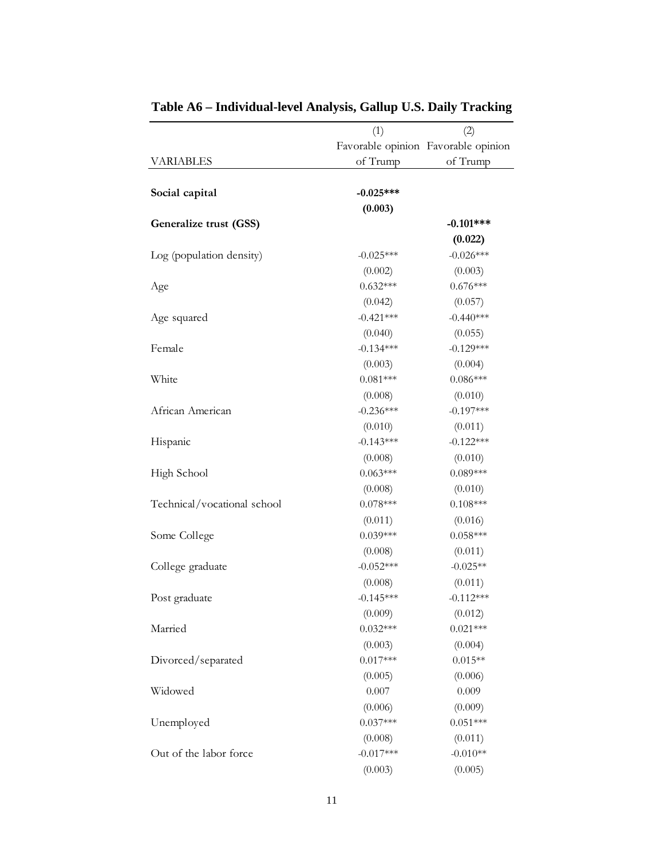|                             | (1)         | (2)                                 |
|-----------------------------|-------------|-------------------------------------|
|                             |             | Favorable opinion Favorable opinion |
| <b>VARIABLES</b>            | of Trump    | of Trump                            |
|                             |             |                                     |
| Social capital              | $-0.025***$ |                                     |
|                             | (0.003)     |                                     |
| Generalize trust (GSS)      |             | $-0.101***$                         |
|                             |             | (0.022)                             |
| Log (population density)    | $-0.025***$ | $-0.026***$                         |
|                             | (0.002)     | (0.003)                             |
| Age                         | $0.632***$  | $0.676***$                          |
|                             | (0.042)     | (0.057)                             |
| Age squared                 | $-0.421***$ | $-0.440***$                         |
|                             | (0.040)     | (0.055)                             |
| Female                      | $-0.134***$ | $-0.129***$                         |
|                             | (0.003)     | (0.004)                             |
| White                       | $0.081***$  | $0.086***$                          |
|                             | (0.008)     | (0.010)                             |
| African American            | $-0.236***$ | $-0.197***$                         |
|                             | (0.010)     | (0.011)                             |
| Hispanic                    | $-0.143***$ | $-0.122***$                         |
|                             | (0.008)     | (0.010)                             |
| High School                 | $0.063***$  | $0.089***$                          |
|                             | (0.008)     | (0.010)                             |
| Technical/vocational school | $0.078***$  | $0.108***$                          |
|                             | (0.011)     | (0.016)                             |
| Some College                | $0.039***$  | $0.058***$                          |
|                             | (0.008)     | (0.011)                             |
| College graduate            | $-0.052***$ | $-0.025**$                          |
|                             | (0.008)     | (0.011)                             |
| Post graduate               | $-0.145***$ | $-0.112***$                         |
|                             | (0.009)     | (0.012)                             |
| Married                     | $0.032***$  | $0.021***$                          |
|                             | (0.003)     | (0.004)                             |
| Divorced/separated          | $0.017***$  | $0.015**$                           |
|                             | (0.005)     | (0.006)                             |
| Widowed                     | 0.007       | 0.009                               |
|                             | (0.006)     | (0.009)                             |
| Unemployed                  | $0.037***$  | $0.051***$                          |
|                             | (0.008)     | (0.011)                             |
| Out of the labor force      | $-0.017***$ | $-0.010**$                          |
|                             | (0.003)     | (0.005)                             |
|                             |             |                                     |

**Table A6 – Individual-level Analysis, Gallup U.S. Daily Tracking**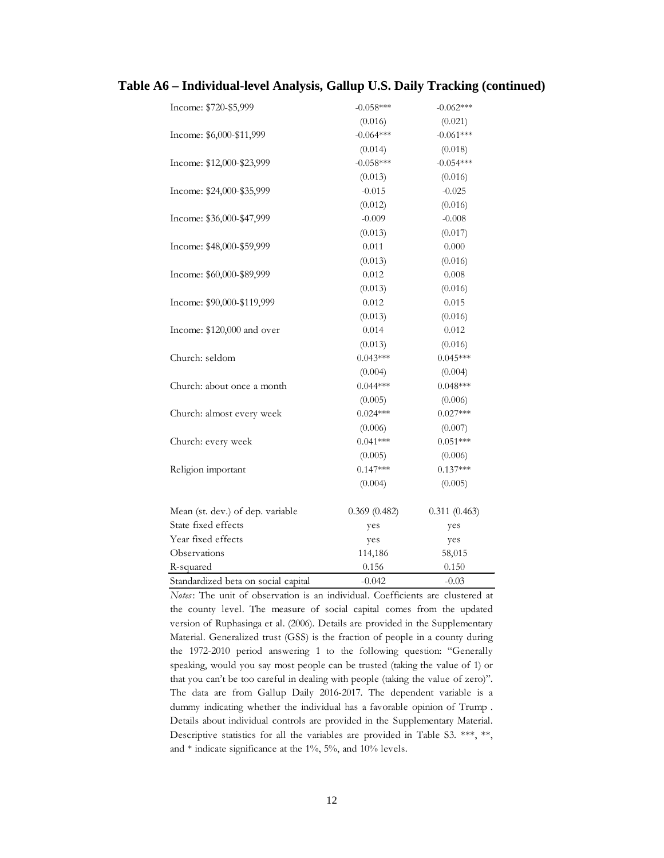| Table A6 – Individual-level Analysis, Gallup U.S. Daily Tracking (continued) |  |  |
|------------------------------------------------------------------------------|--|--|
|------------------------------------------------------------------------------|--|--|

| Income: \$720-\$5,999               | $-0.058***$  | $-0.062***$  |
|-------------------------------------|--------------|--------------|
|                                     | (0.016)      | (0.021)      |
| Income: \$6,000-\$11,999            | $-0.064***$  | $-0.061***$  |
|                                     | (0.014)      | (0.018)      |
| Income: \$12,000-\$23,999           | $-0.058***$  | $-0.054***$  |
|                                     | (0.013)      | (0.016)      |
| Income: \$24,000-\$35,999           | $-0.015$     | $-0.025$     |
|                                     | (0.012)      | (0.016)      |
| Income: \$36,000-\$47,999           | $-0.009$     | $-0.008$     |
|                                     | (0.013)      | (0.017)      |
| Income: \$48,000-\$59,999           | 0.011        | 0.000        |
|                                     | (0.013)      | (0.016)      |
| Income: \$60,000-\$89,999           | 0.012        | 0.008        |
|                                     | (0.013)      | (0.016)      |
| Income: \$90,000-\$119,999          | 0.012        | 0.015        |
|                                     | (0.013)      | (0.016)      |
| Income: \$120,000 and over          | 0.014        | 0.012        |
|                                     | (0.013)      | (0.016)      |
| Church: seldom                      | $0.043***$   | $0.045***$   |
|                                     | (0.004)      | (0.004)      |
| Church: about once a month          | $0.044***$   | $0.048***$   |
|                                     | (0.005)      | (0.006)      |
| Church: almost every week           | $0.024***$   | $0.027***$   |
|                                     | (0.006)      | (0.007)      |
| Church: every week                  | $0.041***$   | $0.051***$   |
|                                     | (0.005)      | (0.006)      |
| Religion important                  | $0.147***$   | $0.137***$   |
|                                     | (0.004)      | (0.005)      |
| Mean (st. dev.) of dep. variable    | 0.369(0.482) | 0.311(0.463) |
| State fixed effects                 | yes          | yes          |
| Year fixed effects                  | yes          | yes          |
| Observations                        | 114,186      | 58,015       |
| R-squared                           | 0.156        | 0.150        |
| Standardized beta on social capital | $-0.042$     | $-0.03$      |

*Notes* : The unit of observation is an individual. Coefficients are clustered at the county level. The measure of social capital comes from the updated version of Ruphasinga et al. (2006). Details are provided in the Supplementary Material. Generalized trust (GSS) is the fraction of people in a county during the 1972-2010 period answering 1 to the following question: "Generally speaking, would you say most people can be trusted (taking the value of 1) or that you can't be too careful in dealing with people (taking the value of zero)". The data are from Gallup Daily 2016-2017. The dependent variable is a dummy indicating whether the individual has a favorable opinion of Trump . Details about individual controls are provided in the Supplementary Material. Descriptive statistics for all the variables are provided in Table S3. \*\*\*, \*\*, and  $*$  indicate significance at the  $1\%$ ,  $5\%$ , and  $10\%$  levels.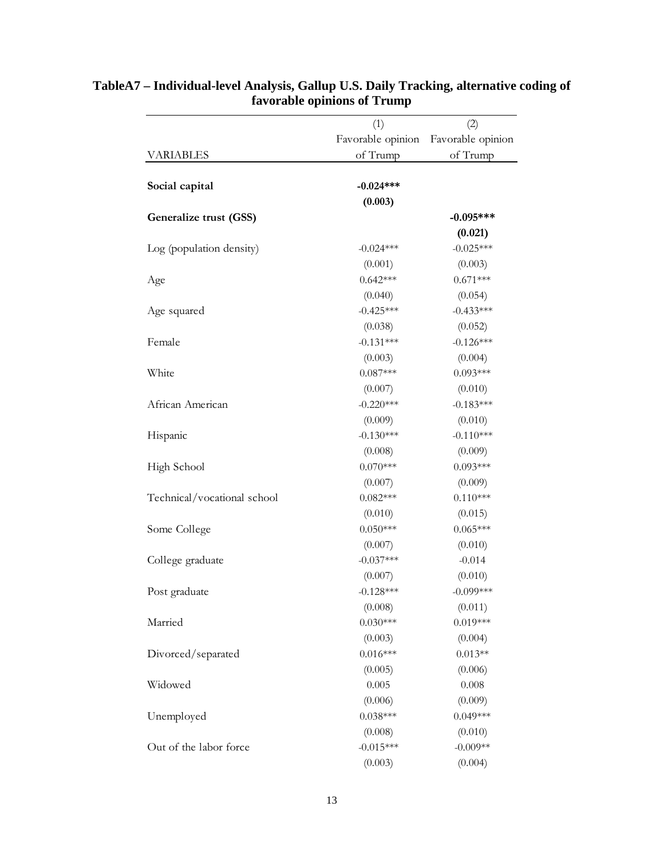|                             | (1)               | (2)               |  |
|-----------------------------|-------------------|-------------------|--|
|                             | Favorable opinion | Favorable opinion |  |
| <b>VARIABLES</b>            | of Trump          | of Trump          |  |
| Social capital              | $-0.024***$       |                   |  |
|                             | (0.003)           |                   |  |
| Generalize trust (GSS)      |                   | $-0.095***$       |  |
|                             |                   | (0.021)           |  |
| Log (population density)    | $-0.024***$       | $-0.025***$       |  |
|                             | (0.001)           | (0.003)           |  |
| Age                         | $0.642***$        | $0.671***$        |  |
|                             | (0.040)           | (0.054)           |  |
| Age squared                 | $-0.425***$       | $-0.433***$       |  |
|                             | (0.038)           | (0.052)           |  |
| Female                      | $-0.131***$       | $-0.126***$       |  |
|                             | (0.003)           | (0.004)           |  |
| White                       | $0.087***$        | $0.093***$        |  |
|                             | (0.007)           | (0.010)           |  |
| African American            | $-0.220***$       | $-0.183***$       |  |
|                             | (0.009)           | (0.010)           |  |
| Hispanic                    | $-0.130***$       | $-0.110***$       |  |
|                             | (0.008)           | (0.009)           |  |
| High School                 | $0.070***$        | $0.093***$        |  |
|                             | (0.007)           | (0.009)           |  |
| Technical/vocational school | $0.082***$        | $0.110***$        |  |
|                             | (0.010)           | (0.015)           |  |
| Some College                | $0.050***$        | $0.065***$        |  |
|                             | (0.007)           | (0.010)           |  |
| College graduate            | $-0.037***$       | $-0.014$          |  |
|                             | (0.007)           | (0.010)           |  |
| Post graduate               | $-0.128***$       | $-0.099***$       |  |
|                             | (0.008)           | (0.011)           |  |
| Married                     | $0.030***$        | $0.019***$        |  |
|                             | (0.003)           | (0.004)           |  |
| Divorced/separated          | $0.016***$        | $0.013**$         |  |
|                             | (0.005)           | (0.006)           |  |
| Widowed                     | 0.005             | 0.008             |  |
|                             | (0.006)           | (0.009)           |  |
| Unemployed                  | $0.038***$        | $0.049***$        |  |
|                             | (0.008)           | (0.010)           |  |
| Out of the labor force      | $-0.015***$       | $-0.009**$        |  |
|                             | (0.003)           | (0.004)           |  |

## **TableA7 – Individual-level Analysis, Gallup U.S. Daily Tracking, alternative coding of favorable opinions of Trump**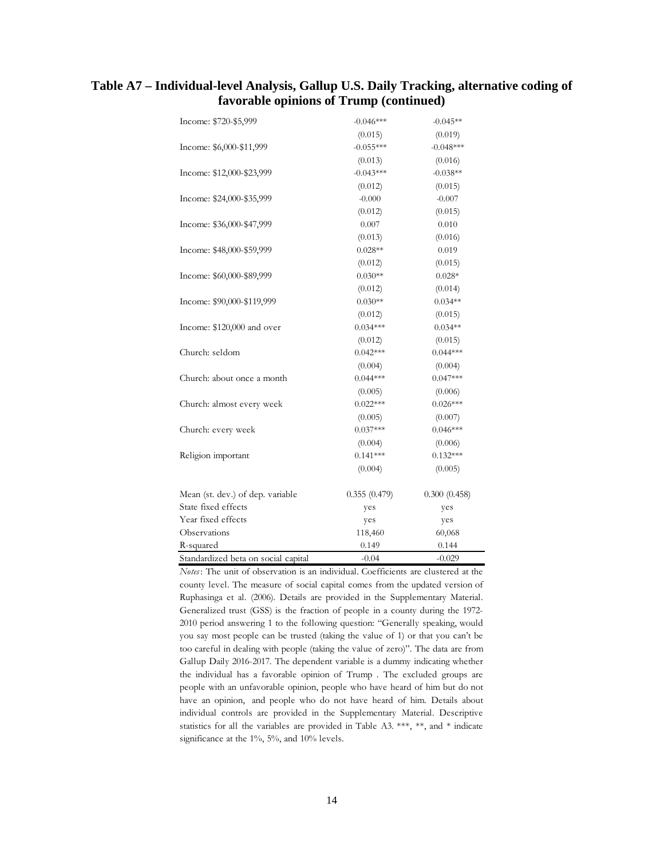## **Table A7 – Individual-level Analysis, Gallup U.S. Daily Tracking, alternative coding of favorable opinions of Trump (continued)**

| Income: \$720-\$5,999               | $-0.046***$  | $-0.045**$   |
|-------------------------------------|--------------|--------------|
|                                     | (0.015)      | (0.019)      |
| Income: \$6,000-\$11,999            | $-0.055***$  | $-0.048***$  |
|                                     | (0.013)      | (0.016)      |
| Income: \$12,000-\$23,999           | $-0.043***$  | $-0.038**$   |
|                                     | (0.012)      | (0.015)      |
| Income: \$24,000-\$35,999           | $-0.000$     | $-0.007$     |
|                                     | (0.012)      | (0.015)      |
| Income: \$36,000-\$47,999           | 0.007        | 0.010        |
|                                     | (0.013)      | (0.016)      |
| Income: \$48,000-\$59,999           | $0.028**$    | 0.019        |
|                                     | (0.012)      | (0.015)      |
| Income: \$60,000-\$89,999           | $0.030**$    | $0.028*$     |
|                                     | (0.012)      | (0.014)      |
| Income: \$90,000-\$119,999          | $0.030**$    | $0.034**$    |
|                                     | (0.012)      | (0.015)      |
| Income: \$120,000 and over          | $0.034***$   | $0.034**$    |
|                                     | (0.012)      | (0.015)      |
| Church: seldom                      | $0.042***$   | $0.044***$   |
|                                     | (0.004)      | (0.004)      |
| Church: about once a month          | $0.044***$   | $0.047***$   |
|                                     | (0.005)      | (0.006)      |
| Church: almost every week           | $0.022***$   | $0.026***$   |
|                                     | (0.005)      | (0.007)      |
| Church: every week                  | $0.037***$   | $0.046***$   |
|                                     | (0.004)      | (0.006)      |
| Religion important                  | $0.141***$   | $0.132***$   |
|                                     | (0.004)      | (0.005)      |
| Mean (st. dev.) of dep. variable    | 0.355(0.479) | 0.300(0.458) |
| State fixed effects                 | yes          | yes          |
| Year fixed effects                  | yes          | yes          |
| Observations                        | 118,460      | 60,068       |
| R-squared                           | 0.149        | 0.144        |
| Standardized beta on social capital | $-0.04$      | $-0.029$     |

*Notes* : The unit of observation is an individual. Coefficients are clustered at the county level. The measure of social capital comes from the updated version of Ruphasinga et al. (2006). Details are provided in the Supplementary Material. Generalized trust (GSS) is the fraction of people in a county during the 1972- 2010 period answering 1 to the following question: "Generally speaking, would you say most people can be trusted (taking the value of 1) or that you can't be too careful in dealing with people (taking the value of zero)". The data are from Gallup Daily 2016-2017. The dependent variable is a dummy indicating whether the individual has a favorable opinion of Trump . The excluded groups are people with an unfavorable opinion, people who have heard of him but do not have an opinion, and people who do not have heard of him. Details about individual controls are provided in the Supplementary Material. Descriptive statistics for all the variables are provided in Table A3. \*\*\*, \*\*, and \* indicate significance at the 1%, 5%, and 10% levels.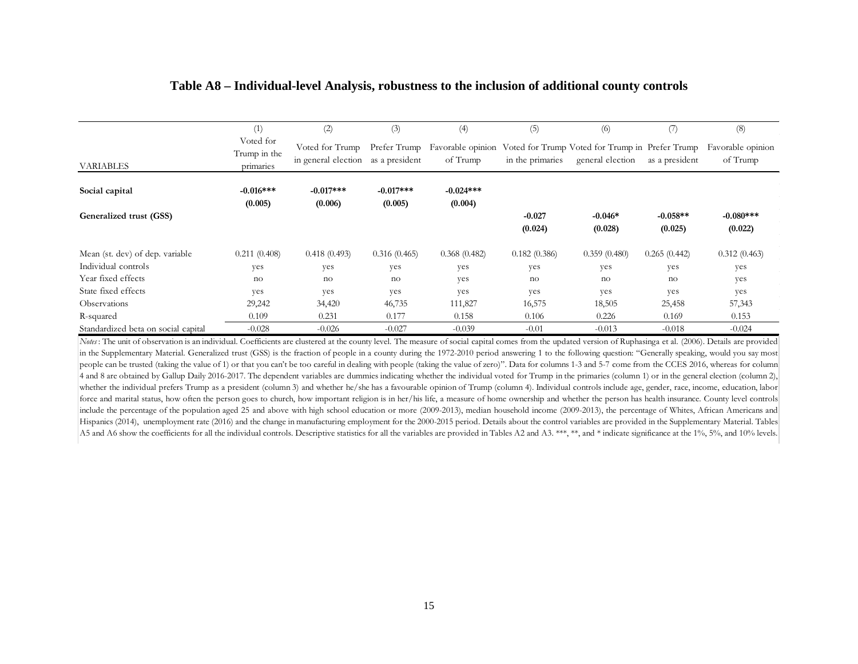|                                     | (1)                                    | (2)                                    | (3)                            | (4)                    | (5)                 | (6)                                                                                   | (7)                   | (8)                           |
|-------------------------------------|----------------------------------------|----------------------------------------|--------------------------------|------------------------|---------------------|---------------------------------------------------------------------------------------|-----------------------|-------------------------------|
| <b>VARIABLES</b>                    | Voted for<br>Trump in the<br>primaries | Voted for Trump<br>in general election | Prefer Trump<br>as a president | of Trump               | in the primaries    | Favorable opinion Voted for Trump Voted for Trump in Prefer Trump<br>general election | as a president        | Favorable opinion<br>of Trump |
| Social capital                      | $-0.016***$<br>(0.005)                 | $-0.017***$<br>(0.006)                 | $-0.017***$<br>(0.005)         | $-0.024***$<br>(0.004) |                     |                                                                                       |                       |                               |
| Generalized trust (GSS)             |                                        |                                        |                                |                        | $-0.027$<br>(0.024) | $-0.046*$<br>(0.028)                                                                  | $-0.058**$<br>(0.025) | $-0.080***$<br>(0.022)        |
| Mean (st. dev) of dep. variable     | 0.211(0.408)                           | 0.418(0.493)                           | 0.316(0.465)                   | 0.368(0.482)           | 0.182(0.386)        | 0.359(0.480)                                                                          | 0.265(0.442)          | 0.312(0.463)                  |
| Individual controls                 | yes                                    | yes                                    | yes                            | yes                    | yes                 | yes                                                                                   | yes                   | yes                           |
| Year fixed effects                  | no                                     | no                                     | no                             | yes                    | no                  | no                                                                                    | no                    | yes                           |
| State fixed effects                 | yes                                    | yes                                    | yes                            | yes                    | yes                 | yes                                                                                   | yes                   | yes                           |
| Observations                        | 29,242                                 | 34,420                                 | 46,735                         | 111,827                | 16,575              | 18,505                                                                                | 25,458                | 57,343                        |
| R-squared                           | 0.109                                  | 0.231                                  | 0.177                          | 0.158                  | 0.106               | 0.226                                                                                 | 0.169                 | 0.153                         |
| Standardized beta on social capital | $-0.028$                               | $-0.026$                               | $-0.027$                       | $-0.039$               | $-0.01$             | $-0.013$                                                                              | $-0.018$              | $-0.024$                      |

#### **Table A8 – Individual-level Analysis, robustness to the inclusion of additional county controls**

*Notes*: The unit of observation is an individual. Coefficients are clustered at the county level. The measure of social capital comes from the updated version of Ruphasinga et al. (2006). Details are provided in the Supplementary Material. Generalized trust (GSS) is the fraction of people in a county during the 1972-2010 period answering 1 to the following question: "Generally speaking, would you say most people can be trusted (taking the value of 1) or that you can't be too careful in dealing with people (taking the value of zero)". Data for columns 1-3 and 5-7 come from the CCES 2016, whereas for column 4 and 8 are obtained by Gallup Daily 2016-2017. The dependent variables are dummies indicating whether the individual voted for Trump in the primaries (column 1) or in the general election (column 2), whether the individual prefers Trump as a president (column 3) and whether he/she has a favourable opinion of Trump (column 4). Individual controls include age, gender, race, income, education, labor force and marital status, how often the person goes to church, how important religion is in her/his life, a measure of home ownership and whether the person has health insurance. County level controls include the percentage of the population aged 25 and above with high school education or more (2009-2013), median household income (2009-2013), the percentage of Whites, African Americans and Hispanics (2014), unemployment rate (2016) and the change in manufacturing employment for the 2000-2015 period. Details about the control variables are provided in the Supplementary Material. Tables A5 and A6 show the coefficients for all the individual controls. Descriptive statistics for all the variables are provided in Tables A2 and A3. \*\*\*, \*\*, and \* indicate significance at the 1%, 5%, and 10% levels.